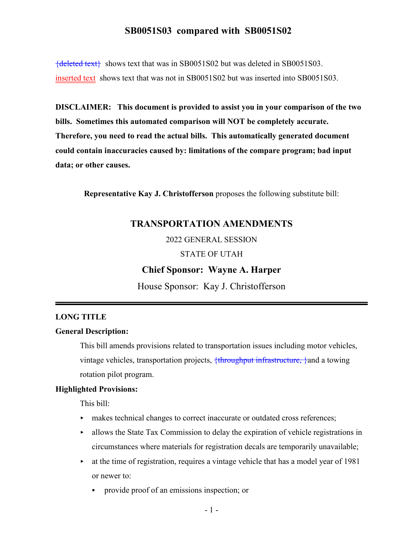${deleted text}$  shows text that was in SB0051S02 but was deleted in SB0051S03. inserted text shows text that was not in SB0051S02 but was inserted into SB0051S03.

**DISCLAIMER: This document is provided to assist you in your comparison of the two bills. Sometimes this automated comparison will NOT be completely accurate. Therefore, you need to read the actual bills. This automatically generated document could contain inaccuracies caused by: limitations of the compare program; bad input data; or other causes.**

**Representative Kay J. Christofferson** proposes the following substitute bill:

### **TRANSPORTATION AMENDMENTS**

2022 GENERAL SESSION

#### STATE OF UTAH

#### **Chief Sponsor: Wayne A. Harper**

House Sponsor: Kay J. Christofferson

#### **LONG TITLE**

#### **General Description:**

This bill amends provisions related to transportation issues including motor vehicles, vintage vehicles, transportation projects, <del>{throughput infrastructure,}</del> and a towing rotation pilot program.

#### **Highlighted Provisions:**

This bill:

- $\blacktriangleright$  makes technical changes to correct inaccurate or outdated cross references;
- $\blacktriangleright$  allows the State Tax Commission to delay the expiration of vehicle registrations in circumstances where materials for registration decals are temporarily unavailable;
- $\blacktriangleright$  at the time of registration, requires a vintage vehicle that has a model year of 1981 or newer to:
	- provide proof of an emissions inspection; or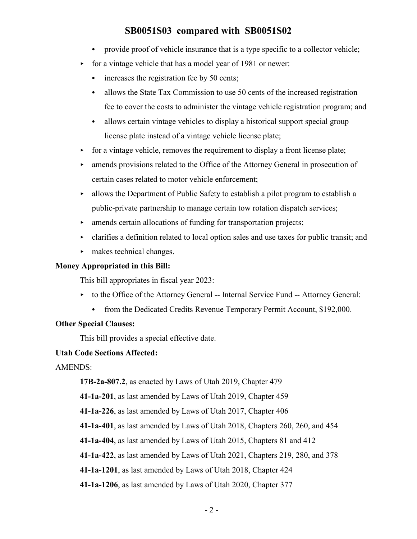- provide proof of vehicle insurance that is a type specific to a collector vehicle;
- for a vintage vehicle that has a model year of 1981 or newer:
	- $\cdot$  increases the registration fee by 50 cents;
	- allows the State Tax Commission to use 50 cents of the increased registration fee to cover the costs to administer the vintage vehicle registration program; and
	- allows certain vintage vehicles to display a historical support special group license plate instead of a vintage vehicle license plate;
- $\triangleright$  for a vintage vehicle, removes the requirement to display a front license plate;
- < amends provisions related to the Office of the Attorney General in prosecution of certain cases related to motor vehicle enforcement;
- $\blacktriangleright$  allows the Department of Public Safety to establish a pilot program to establish a public-private partnership to manage certain tow rotation dispatch services;
- $\triangleright$  amends certain allocations of funding for transportation projects;
- $\triangleright$  clarifies a definition related to local option sales and use taxes for public transit; and
- $\blacktriangleright$  makes technical changes.

### **Money Appropriated in this Bill:**

This bill appropriates in fiscal year 2023:

- to the Office of the Attorney General -- Internal Service Fund -- Attorney General:
	- from the Dedicated Credits Revenue Temporary Permit Account, \$192,000.

### **Other Special Clauses:**

This bill provides a special effective date.

#### **Utah Code Sections Affected:**

AMENDS:

**17B-2a-807.2**, as enacted by Laws of Utah 2019, Chapter 479

**41-1a-201**, as last amended by Laws of Utah 2019, Chapter 459

**41-1a-226**, as last amended by Laws of Utah 2017, Chapter 406

**41-1a-401**, as last amended by Laws of Utah 2018, Chapters 260, 260, and 454

**41-1a-404**, as last amended by Laws of Utah 2015, Chapters 81 and 412

**41-1a-422**, as last amended by Laws of Utah 2021, Chapters 219, 280, and 378

**41-1a-1201**, as last amended by Laws of Utah 2018, Chapter 424

**41-1a-1206**, as last amended by Laws of Utah 2020, Chapter 377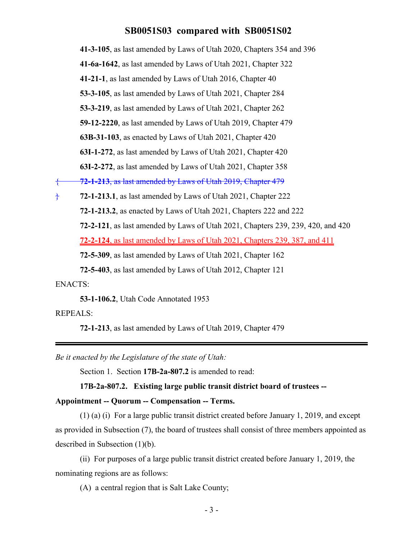**41-3-105**, as last amended by Laws of Utah 2020, Chapters 354 and 396 **41-6a-1642**, as last amended by Laws of Utah 2021, Chapter 322 **41-21-1**, as last amended by Laws of Utah 2016, Chapter 40 **53-3-105**, as last amended by Laws of Utah 2021, Chapter 284 **53-3-219**, as last amended by Laws of Utah 2021, Chapter 262 **59-12-2220**, as last amended by Laws of Utah 2019, Chapter 479 **63B-31-103**, as enacted by Laws of Utah 2021, Chapter 420 **63I-1-272**, as last amended by Laws of Utah 2021, Chapter 420 **63I-2-272**, as last amended by Laws of Utah 2021, Chapter 358 { **72-1-213**, as last amended by Laws of Utah 2019, Chapter 479 } **72-1-213.1**, as last amended by Laws of Utah 2021, Chapter 222 **72-1-213.2**, as enacted by Laws of Utah 2021, Chapters 222 and 222 **72-2-121**, as last amended by Laws of Utah 2021, Chapters 239, 239, 420, and 420 **72-2-124**, as last amended by Laws of Utah 2021, Chapters 239, 387, and 411 **72-5-309**, as last amended by Laws of Utah 2021, Chapter 162 **72-5-403**, as last amended by Laws of Utah 2012, Chapter 121 ENACTS:

**53-1-106.2**, Utah Code Annotated 1953

REPEALS:

**72-1-213**, as last amended by Laws of Utah 2019, Chapter 479

*Be it enacted by the Legislature of the state of Utah:*

Section 1. Section **17B-2a-807.2** is amended to read:

**17B-2a-807.2. Existing large public transit district board of trustees --**

#### **Appointment -- Quorum -- Compensation -- Terms.**

(1) (a) (i) For a large public transit district created before January 1, 2019, and except as provided in Subsection (7), the board of trustees shall consist of three members appointed as described in Subsection (1)(b).

(ii) For purposes of a large public transit district created before January 1, 2019, the nominating regions are as follows:

(A) a central region that is Salt Lake County;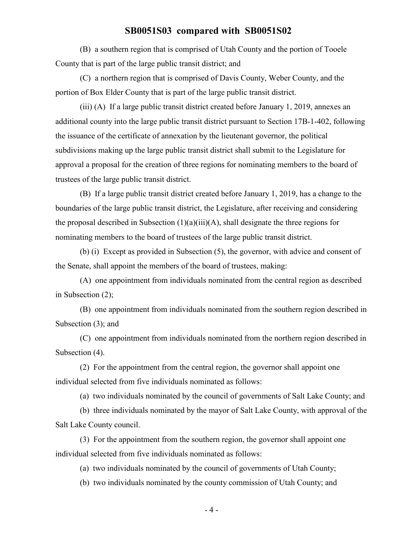(B) a southern region that is comprised of Utah County and the portion of Tooele County that is part of the large public transit district; and

(C) a northern region that is comprised of Davis County, Weber County, and the portion of Box Elder County that is part of the large public transit district.

(iii) (A) If a large public transit district created before January 1, 2019, annexes an additional county into the large public transit district pursuant to Section 17B-1-402, following the issuance of the certificate of annexation by the lieutenant governor, the political subdivisions making up the large public transit district shall submit to the Legislature for approval a proposal for the creation of three regions for nominating members to the board of trustees of the large public transit district.

(B) If a large public transit district created before January 1, 2019, has a change to the boundaries of the large public transit district, the Legislature, after receiving and considering the proposal described in Subsection  $(1)(a)(iii)(A)$ , shall designate the three regions for nominating members to the board of trustees of the large public transit district.

(b) (i) Except as provided in Subsection (5), the governor, with advice and consent of the Senate, shall appoint the members of the board of trustees, making:

(A) one appointment from individuals nominated from the central region as described in Subsection (2);

(B) one appointment from individuals nominated from the southern region described in Subsection (3); and

(C) one appointment from individuals nominated from the northern region described in Subsection (4).

(2) For the appointment from the central region, the governor shall appoint one individual selected from five individuals nominated as follows:

(a) two individuals nominated by the council of governments of Salt Lake County; and

(b) three individuals nominated by the mayor of Salt Lake County, with approval of the Salt Lake County council.

(3) For the appointment from the southern region, the governor shall appoint one individual selected from five individuals nominated as follows:

(a) two individuals nominated by the council of governments of Utah County;

(b) two individuals nominated by the county commission of Utah County; and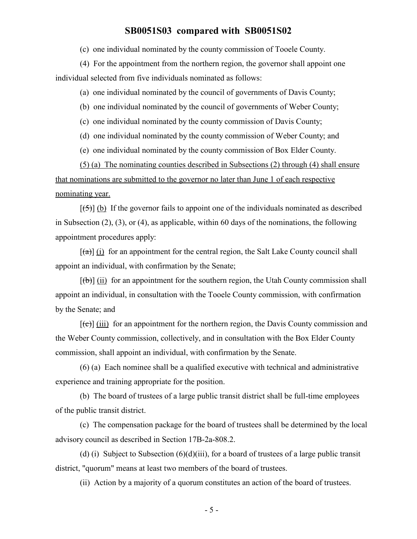(c) one individual nominated by the county commission of Tooele County.

(4) For the appointment from the northern region, the governor shall appoint one individual selected from five individuals nominated as follows:

(a) one individual nominated by the council of governments of Davis County;

(b) one individual nominated by the council of governments of Weber County;

(c) one individual nominated by the county commission of Davis County;

(d) one individual nominated by the county commission of Weber County; and

(e) one individual nominated by the county commission of Box Elder County.

(5) (a) The nominating counties described in Subsections (2) through (4) shall ensure that nominations are submitted to the governor no later than June 1 of each respective nominating year.

 $[\frac{1}{5}]$  (b) If the governor fails to appoint one of the individuals nominated as described in Subsection (2), (3), or (4), as applicable, within 60 days of the nominations, the following appointment procedures apply:

 $[(a)]$  (i) for an appointment for the central region, the Salt Lake County council shall appoint an individual, with confirmation by the Senate;

 $[(\theta)]$  (ii) for an appointment for the southern region, the Utah County commission shall appoint an individual, in consultation with the Tooele County commission, with confirmation by the Senate; and

 $[\text{e}(\epsilon)]$  (iii) for an appointment for the northern region, the Davis County commission and the Weber County commission, collectively, and in consultation with the Box Elder County commission, shall appoint an individual, with confirmation by the Senate.

(6) (a) Each nominee shall be a qualified executive with technical and administrative experience and training appropriate for the position.

(b) The board of trustees of a large public transit district shall be full-time employees of the public transit district.

(c) The compensation package for the board of trustees shall be determined by the local advisory council as described in Section 17B-2a-808.2.

(d) (i) Subject to Subsection  $(6)(d)(iii)$ , for a board of trustees of a large public transit district, "quorum" means at least two members of the board of trustees.

(ii) Action by a majority of a quorum constitutes an action of the board of trustees.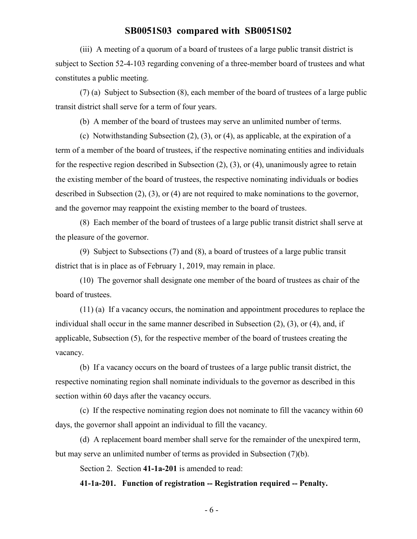(iii) A meeting of a quorum of a board of trustees of a large public transit district is subject to Section 52-4-103 regarding convening of a three-member board of trustees and what constitutes a public meeting.

(7) (a) Subject to Subsection (8), each member of the board of trustees of a large public transit district shall serve for a term of four years.

(b) A member of the board of trustees may serve an unlimited number of terms.

(c) Notwithstanding Subsection (2), (3), or (4), as applicable, at the expiration of a term of a member of the board of trustees, if the respective nominating entities and individuals for the respective region described in Subsection (2), (3), or (4), unanimously agree to retain the existing member of the board of trustees, the respective nominating individuals or bodies described in Subsection (2), (3), or (4) are not required to make nominations to the governor, and the governor may reappoint the existing member to the board of trustees.

(8) Each member of the board of trustees of a large public transit district shall serve at the pleasure of the governor.

(9) Subject to Subsections (7) and (8), a board of trustees of a large public transit district that is in place as of February 1, 2019, may remain in place.

(10) The governor shall designate one member of the board of trustees as chair of the board of trustees.

(11) (a) If a vacancy occurs, the nomination and appointment procedures to replace the individual shall occur in the same manner described in Subsection (2), (3), or (4), and, if applicable, Subsection (5), for the respective member of the board of trustees creating the vacancy.

(b) If a vacancy occurs on the board of trustees of a large public transit district, the respective nominating region shall nominate individuals to the governor as described in this section within 60 days after the vacancy occurs.

(c) If the respective nominating region does not nominate to fill the vacancy within 60 days, the governor shall appoint an individual to fill the vacancy.

(d) A replacement board member shall serve for the remainder of the unexpired term, but may serve an unlimited number of terms as provided in Subsection (7)(b).

Section 2. Section **41-1a-201** is amended to read:

**41-1a-201. Function of registration -- Registration required -- Penalty.**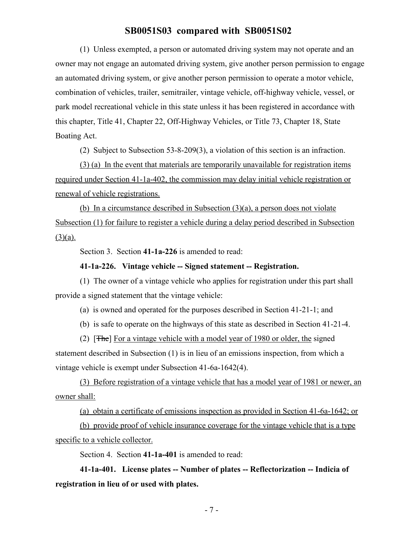(1) Unless exempted, a person or automated driving system may not operate and an owner may not engage an automated driving system, give another person permission to engage an automated driving system, or give another person permission to operate a motor vehicle, combination of vehicles, trailer, semitrailer, vintage vehicle, off-highway vehicle, vessel, or park model recreational vehicle in this state unless it has been registered in accordance with this chapter, Title 41, Chapter 22, Off-Highway Vehicles, or Title 73, Chapter 18, State Boating Act.

(2) Subject to Subsection 53-8-209(3), a violation of this section is an infraction.

(3) (a) In the event that materials are temporarily unavailable for registration items required under Section 41-1a-402, the commission may delay initial vehicle registration or renewal of vehicle registrations.

(b) In a circumstance described in Subsection (3)(a), a person does not violate Subsection (1) for failure to register a vehicle during a delay period described in Subsection  $(3)(a)$ .

Section 3. Section **41-1a-226** is amended to read:

#### **41-1a-226. Vintage vehicle -- Signed statement -- Registration.**

(1) The owner of a vintage vehicle who applies for registration under this part shall provide a signed statement that the vintage vehicle:

(a) is owned and operated for the purposes described in Section 41-21-1; and

(b) is safe to operate on the highways of this state as described in Section 41-21-4.

(2) [The] For a vintage vehicle with a model year of 1980 or older, the signed statement described in Subsection (1) is in lieu of an emissions inspection, from which a vintage vehicle is exempt under Subsection 41-6a-1642(4).

(3) Before registration of a vintage vehicle that has a model year of 1981 or newer, an owner shall:

(a) obtain a certificate of emissions inspection as provided in Section 41-6a-1642; or

(b) provide proof of vehicle insurance coverage for the vintage vehicle that is a type specific to a vehicle collector.

Section 4. Section **41-1a-401** is amended to read:

**41-1a-401. License plates -- Number of plates -- Reflectorization -- Indicia of registration in lieu of or used with plates.**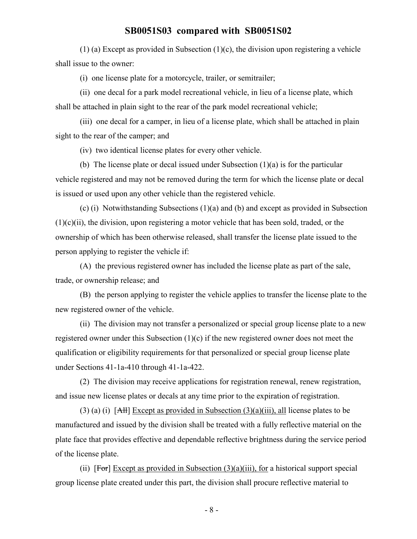(1) (a) Except as provided in Subsection (1)(c), the division upon registering a vehicle shall issue to the owner:

(i) one license plate for a motorcycle, trailer, or semitrailer;

(ii) one decal for a park model recreational vehicle, in lieu of a license plate, which shall be attached in plain sight to the rear of the park model recreational vehicle;

(iii) one decal for a camper, in lieu of a license plate, which shall be attached in plain sight to the rear of the camper; and

(iv) two identical license plates for every other vehicle.

(b) The license plate or decal issued under Subsection (1)(a) is for the particular vehicle registered and may not be removed during the term for which the license plate or decal is issued or used upon any other vehicle than the registered vehicle.

(c) (i) Notwithstanding Subsections (1)(a) and (b) and except as provided in Subsection  $(1)(c)(ii)$ , the division, upon registering a motor vehicle that has been sold, traded, or the ownership of which has been otherwise released, shall transfer the license plate issued to the person applying to register the vehicle if:

(A) the previous registered owner has included the license plate as part of the sale, trade, or ownership release; and

(B) the person applying to register the vehicle applies to transfer the license plate to the new registered owner of the vehicle.

(ii) The division may not transfer a personalized or special group license plate to a new registered owner under this Subsection (1)(c) if the new registered owner does not meet the qualification or eligibility requirements for that personalized or special group license plate under Sections 41-1a-410 through 41-1a-422.

(2) The division may receive applications for registration renewal, renew registration, and issue new license plates or decals at any time prior to the expiration of registration.

(3) (a) (i)  $[AH]$  Except as provided in Subsection (3)(a)(iii), all license plates to be manufactured and issued by the division shall be treated with a fully reflective material on the plate face that provides effective and dependable reflective brightness during the service period of the license plate.

(ii)  $[For] Except as provided in Subsection (3)(a)(iii)$ , for a historical support special group license plate created under this part, the division shall procure reflective material to

- 8 -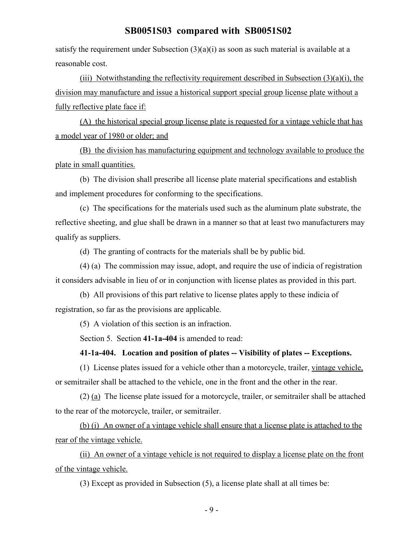satisfy the requirement under Subsection  $(3)(a)(i)$  as soon as such material is available at a reasonable cost.

(iii) Notwithstanding the reflectivity requirement described in Subsection  $(3)(a)(i)$ , the division may manufacture and issue a historical support special group license plate without a fully reflective plate face if:

(A) the historical special group license plate is requested for a vintage vehicle that has a model year of 1980 or older; and

(B) the division has manufacturing equipment and technology available to produce the plate in small quantities.

(b) The division shall prescribe all license plate material specifications and establish and implement procedures for conforming to the specifications.

(c) The specifications for the materials used such as the aluminum plate substrate, the reflective sheeting, and glue shall be drawn in a manner so that at least two manufacturers may qualify as suppliers.

(d) The granting of contracts for the materials shall be by public bid.

(4) (a) The commission may issue, adopt, and require the use of indicia of registration it considers advisable in lieu of or in conjunction with license plates as provided in this part.

(b) All provisions of this part relative to license plates apply to these indicia of registration, so far as the provisions are applicable.

(5) A violation of this section is an infraction.

Section 5. Section **41-1a-404** is amended to read:

#### **41-1a-404. Location and position of plates -- Visibility of plates -- Exceptions.**

(1) License plates issued for a vehicle other than a motorcycle, trailer, vintage vehicle, or semitrailer shall be attached to the vehicle, one in the front and the other in the rear.

(2) (a) The license plate issued for a motorcycle, trailer, or semitrailer shall be attached to the rear of the motorcycle, trailer, or semitrailer.

(b) (i) An owner of a vintage vehicle shall ensure that a license plate is attached to the rear of the vintage vehicle.

(ii) An owner of a vintage vehicle is not required to display a license plate on the front of the vintage vehicle.

(3) Except as provided in Subsection (5), a license plate shall at all times be: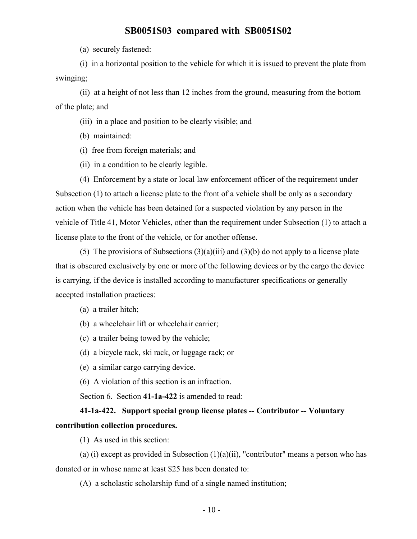(a) securely fastened:

(i) in a horizontal position to the vehicle for which it is issued to prevent the plate from swinging;

(ii) at a height of not less than 12 inches from the ground, measuring from the bottom of the plate; and

(iii) in a place and position to be clearly visible; and

(b) maintained:

- (i) free from foreign materials; and
- (ii) in a condition to be clearly legible.

(4) Enforcement by a state or local law enforcement officer of the requirement under Subsection (1) to attach a license plate to the front of a vehicle shall be only as a secondary action when the vehicle has been detained for a suspected violation by any person in the vehicle of Title 41, Motor Vehicles, other than the requirement under Subsection (1) to attach a license plate to the front of the vehicle, or for another offense.

(5) The provisions of Subsections  $(3)(a)(iii)$  and  $(3)(b)$  do not apply to a license plate that is obscured exclusively by one or more of the following devices or by the cargo the device is carrying, if the device is installed according to manufacturer specifications or generally accepted installation practices:

(a) a trailer hitch;

- (b) a wheelchair lift or wheelchair carrier;
- (c) a trailer being towed by the vehicle;
- (d) a bicycle rack, ski rack, or luggage rack; or
- (e) a similar cargo carrying device.
- (6) A violation of this section is an infraction.

Section 6. Section **41-1a-422** is amended to read:

# **41-1a-422. Support special group license plates -- Contributor -- Voluntary contribution collection procedures.**

(1) As used in this section:

(a) (i) except as provided in Subsection  $(1)(a)(ii)$ , "contributor" means a person who has donated or in whose name at least \$25 has been donated to:

(A) a scholastic scholarship fund of a single named institution;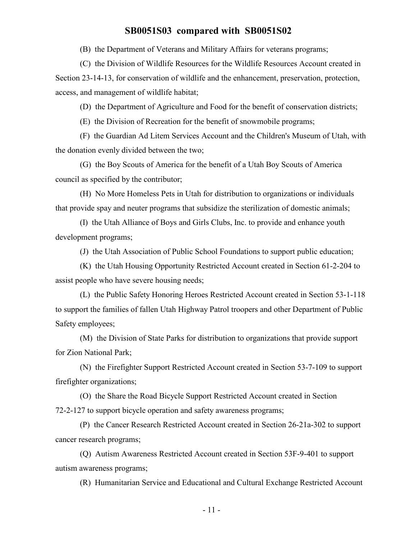(B) the Department of Veterans and Military Affairs for veterans programs;

(C) the Division of Wildlife Resources for the Wildlife Resources Account created in Section 23-14-13, for conservation of wildlife and the enhancement, preservation, protection, access, and management of wildlife habitat;

(D) the Department of Agriculture and Food for the benefit of conservation districts;

(E) the Division of Recreation for the benefit of snowmobile programs;

(F) the Guardian Ad Litem Services Account and the Children's Museum of Utah, with the donation evenly divided between the two;

(G) the Boy Scouts of America for the benefit of a Utah Boy Scouts of America council as specified by the contributor;

(H) No More Homeless Pets in Utah for distribution to organizations or individuals that provide spay and neuter programs that subsidize the sterilization of domestic animals;

(I) the Utah Alliance of Boys and Girls Clubs, Inc. to provide and enhance youth development programs;

(J) the Utah Association of Public School Foundations to support public education;

(K) the Utah Housing Opportunity Restricted Account created in Section 61-2-204 to assist people who have severe housing needs;

(L) the Public Safety Honoring Heroes Restricted Account created in Section 53-1-118 to support the families of fallen Utah Highway Patrol troopers and other Department of Public Safety employees;

(M) the Division of State Parks for distribution to organizations that provide support for Zion National Park;

(N) the Firefighter Support Restricted Account created in Section 53-7-109 to support firefighter organizations;

(O) the Share the Road Bicycle Support Restricted Account created in Section 72-2-127 to support bicycle operation and safety awareness programs;

(P) the Cancer Research Restricted Account created in Section 26-21a-302 to support cancer research programs;

(Q) Autism Awareness Restricted Account created in Section 53F-9-401 to support autism awareness programs;

(R) Humanitarian Service and Educational and Cultural Exchange Restricted Account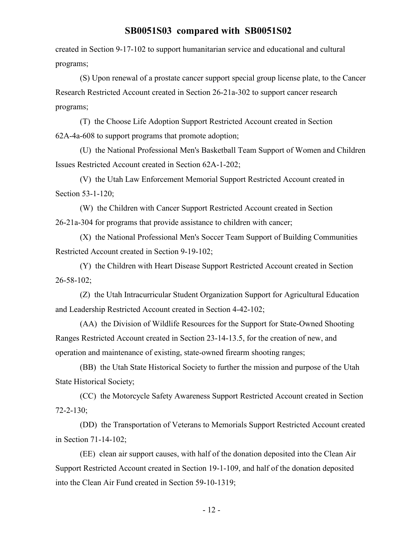created in Section 9-17-102 to support humanitarian service and educational and cultural programs;

(S) Upon renewal of a prostate cancer support special group license plate, to the Cancer Research Restricted Account created in Section 26-21a-302 to support cancer research programs;

(T) the Choose Life Adoption Support Restricted Account created in Section 62A-4a-608 to support programs that promote adoption;

(U) the National Professional Men's Basketball Team Support of Women and Children Issues Restricted Account created in Section 62A-1-202;

(V) the Utah Law Enforcement Memorial Support Restricted Account created in Section 53-1-120;

(W) the Children with Cancer Support Restricted Account created in Section 26-21a-304 for programs that provide assistance to children with cancer;

(X) the National Professional Men's Soccer Team Support of Building Communities Restricted Account created in Section 9-19-102;

(Y) the Children with Heart Disease Support Restricted Account created in Section 26-58-102;

(Z) the Utah Intracurricular Student Organization Support for Agricultural Education and Leadership Restricted Account created in Section 4-42-102;

(AA) the Division of Wildlife Resources for the Support for State-Owned Shooting Ranges Restricted Account created in Section 23-14-13.5, for the creation of new, and operation and maintenance of existing, state-owned firearm shooting ranges;

(BB) the Utah State Historical Society to further the mission and purpose of the Utah State Historical Society;

(CC) the Motorcycle Safety Awareness Support Restricted Account created in Section 72-2-130;

(DD) the Transportation of Veterans to Memorials Support Restricted Account created in Section 71-14-102;

(EE) clean air support causes, with half of the donation deposited into the Clean Air Support Restricted Account created in Section 19-1-109, and half of the donation deposited into the Clean Air Fund created in Section 59-10-1319;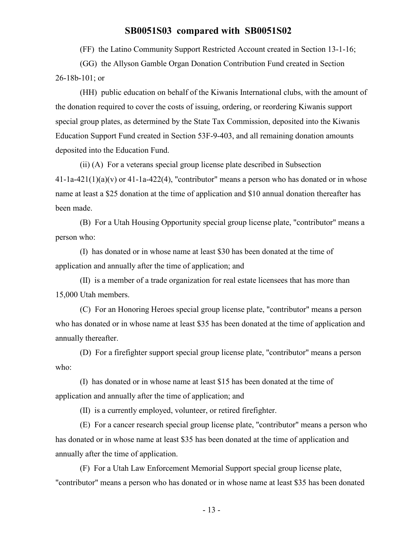(FF) the Latino Community Support Restricted Account created in Section 13-1-16;

(GG) the Allyson Gamble Organ Donation Contribution Fund created in Section 26-18b-101; or

(HH) public education on behalf of the Kiwanis International clubs, with the amount of the donation required to cover the costs of issuing, ordering, or reordering Kiwanis support special group plates, as determined by the State Tax Commission, deposited into the Kiwanis Education Support Fund created in Section 53F-9-403, and all remaining donation amounts deposited into the Education Fund.

(ii) (A) For a veterans special group license plate described in Subsection  $41$ -1a- $421(1)(a)(v)$  or  $41$ -1a- $422(4)$ , "contributor" means a person who has donated or in whose name at least a \$25 donation at the time of application and \$10 annual donation thereafter has been made.

(B) For a Utah Housing Opportunity special group license plate, "contributor" means a person who:

(I) has donated or in whose name at least \$30 has been donated at the time of application and annually after the time of application; and

(II) is a member of a trade organization for real estate licensees that has more than 15,000 Utah members.

(C) For an Honoring Heroes special group license plate, "contributor" means a person who has donated or in whose name at least \$35 has been donated at the time of application and annually thereafter.

(D) For a firefighter support special group license plate, "contributor" means a person who:

(I) has donated or in whose name at least \$15 has been donated at the time of application and annually after the time of application; and

(II) is a currently employed, volunteer, or retired firefighter.

(E) For a cancer research special group license plate, "contributor" means a person who has donated or in whose name at least \$35 has been donated at the time of application and annually after the time of application.

(F) For a Utah Law Enforcement Memorial Support special group license plate, "contributor" means a person who has donated or in whose name at least \$35 has been donated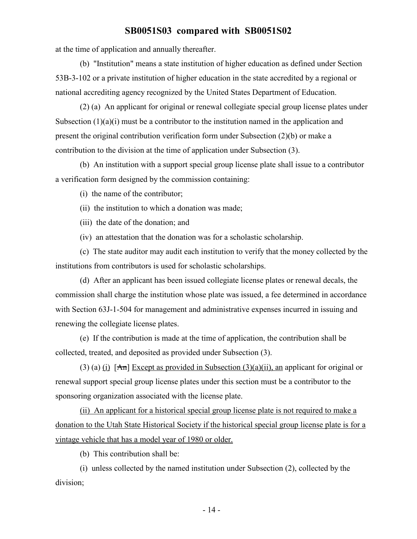at the time of application and annually thereafter.

(b) "Institution" means a state institution of higher education as defined under Section 53B-3-102 or a private institution of higher education in the state accredited by a regional or national accrediting agency recognized by the United States Department of Education.

(2) (a) An applicant for original or renewal collegiate special group license plates under Subsection  $(1)(a)(i)$  must be a contributor to the institution named in the application and present the original contribution verification form under Subsection (2)(b) or make a contribution to the division at the time of application under Subsection (3).

(b) An institution with a support special group license plate shall issue to a contributor a verification form designed by the commission containing:

(i) the name of the contributor;

(ii) the institution to which a donation was made;

(iii) the date of the donation; and

(iv) an attestation that the donation was for a scholastic scholarship.

(c) The state auditor may audit each institution to verify that the money collected by the institutions from contributors is used for scholastic scholarships.

(d) After an applicant has been issued collegiate license plates or renewal decals, the commission shall charge the institution whose plate was issued, a fee determined in accordance with Section 63J-1-504 for management and administrative expenses incurred in issuing and renewing the collegiate license plates.

(e) If the contribution is made at the time of application, the contribution shall be collected, treated, and deposited as provided under Subsection (3).

(3) (a) (i)  $[An]$  Except as provided in Subsection (3)(a)(ii), an applicant for original or renewal support special group license plates under this section must be a contributor to the sponsoring organization associated with the license plate.

(ii) An applicant for a historical special group license plate is not required to make a donation to the Utah State Historical Society if the historical special group license plate is for a vintage vehicle that has a model year of 1980 or older.

(b) This contribution shall be:

(i) unless collected by the named institution under Subsection (2), collected by the division;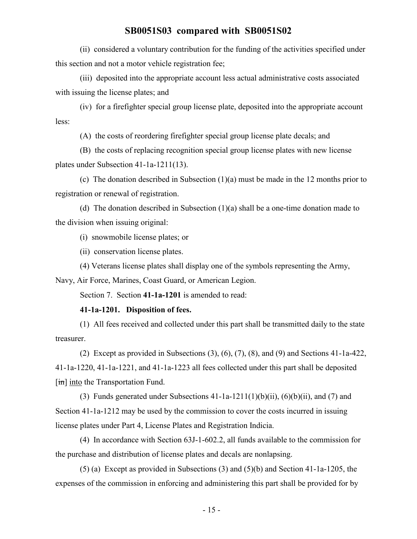(ii) considered a voluntary contribution for the funding of the activities specified under this section and not a motor vehicle registration fee;

(iii) deposited into the appropriate account less actual administrative costs associated with issuing the license plates; and

(iv) for a firefighter special group license plate, deposited into the appropriate account less:

(A) the costs of reordering firefighter special group license plate decals; and

(B) the costs of replacing recognition special group license plates with new license plates under Subsection 41-1a-1211(13).

(c) The donation described in Subsection (1)(a) must be made in the 12 months prior to registration or renewal of registration.

(d) The donation described in Subsection (1)(a) shall be a one-time donation made to the division when issuing original:

(i) snowmobile license plates; or

(ii) conservation license plates.

(4) Veterans license plates shall display one of the symbols representing the Army,

Navy, Air Force, Marines, Coast Guard, or American Legion.

Section 7. Section **41-1a-1201** is amended to read:

#### **41-1a-1201. Disposition of fees.**

(1) All fees received and collected under this part shall be transmitted daily to the state treasurer.

(2) Except as provided in Subsections (3), (6), (7), (8), and (9) and Sections 41-1a-422, 41-1a-1220, 41-1a-1221, and 41-1a-1223 all fees collected under this part shall be deposited [in] into the Transportation Fund.

(3) Funds generated under Subsections  $41$ -1a-1211(1)(b)(ii), (6)(b)(ii), and (7) and Section 41-1a-1212 may be used by the commission to cover the costs incurred in issuing license plates under Part 4, License Plates and Registration Indicia.

(4) In accordance with Section 63J-1-602.2, all funds available to the commission for the purchase and distribution of license plates and decals are nonlapsing.

(5) (a) Except as provided in Subsections (3) and (5)(b) and Section 41-1a-1205, the expenses of the commission in enforcing and administering this part shall be provided for by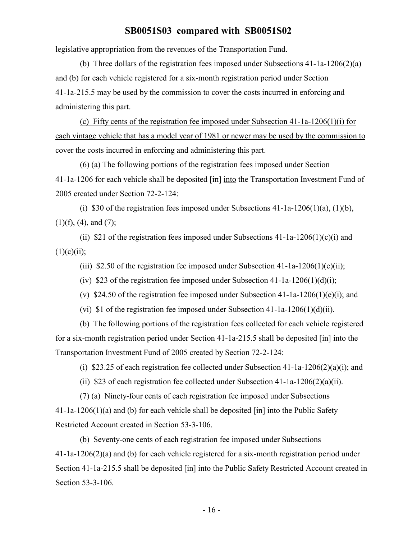legislative appropriation from the revenues of the Transportation Fund.

(b) Three dollars of the registration fees imposed under Subsections 41-1a-1206(2)(a) and (b) for each vehicle registered for a six-month registration period under Section 41-1a-215.5 may be used by the commission to cover the costs incurred in enforcing and administering this part.

(c) Fifty cents of the registration fee imposed under Subsection 41-1a-1206(1)(i) for each vintage vehicle that has a model year of 1981 or newer may be used by the commission to cover the costs incurred in enforcing and administering this part.

(6) (a) The following portions of the registration fees imposed under Section 41-1a-1206 for each vehicle shall be deposited  $\overline{[m]}$  into the Transportation Investment Fund of 2005 created under Section 72-2-124:

(i) \$30 of the registration fees imposed under Subsections  $41$ -1a-1206(1)(a), (1)(b),  $(1)(f)$ ,  $(4)$ , and  $(7)$ ;

(ii) \$21 of the registration fees imposed under Subsections  $41$ -1a-1206(1)(c)(i) and  $(1)(c)(ii);$ 

(iii) \$2.50 of the registration fee imposed under Subsection 41-1a-1206(1)(e)(ii);

(iv) \$23 of the registration fee imposed under Subsection 41-1a-1206(1)(d)(i);

(v) \$24.50 of the registration fee imposed under Subsection 41-1a-1206(1)(e)(i); and

(vi) \$1 of the registration fee imposed under Subsection  $41$ -1a-1206(1)(d)(ii).

(b) The following portions of the registration fees collected for each vehicle registered for a six-month registration period under Section 41-1a-215.5 shall be deposited  $\overline{[m]}$  into the Transportation Investment Fund of 2005 created by Section 72-2-124:

(i) \$23.25 of each registration fee collected under Subsection  $41$ -1a-1206(2)(a)(i); and

(ii) \$23 of each registration fee collected under Subsection  $41$ -1a-1206(2)(a)(ii).

(7) (a) Ninety-four cents of each registration fee imposed under Subsections 41-1a-1206(1)(a) and (b) for each vehicle shall be deposited  $\lim$  into the Public Safety Restricted Account created in Section 53-3-106.

(b) Seventy-one cents of each registration fee imposed under Subsections 41-1a-1206(2)(a) and (b) for each vehicle registered for a six-month registration period under Section 41-1a-215.5 shall be deposited  $\overline{m}$  into the Public Safety Restricted Account created in Section 53-3-106.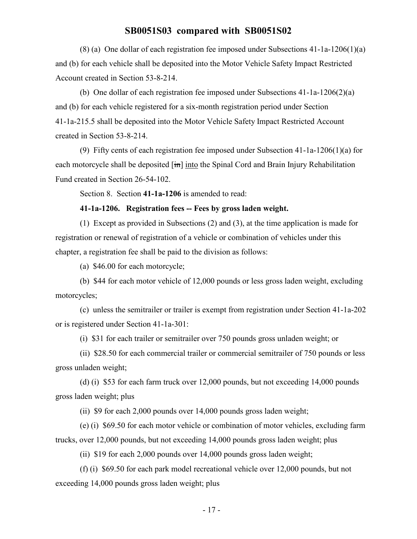(8) (a) One dollar of each registration fee imposed under Subsections 41-1a-1206(1)(a) and (b) for each vehicle shall be deposited into the Motor Vehicle Safety Impact Restricted Account created in Section 53-8-214.

(b) One dollar of each registration fee imposed under Subsections 41-1a-1206(2)(a) and (b) for each vehicle registered for a six-month registration period under Section 41-1a-215.5 shall be deposited into the Motor Vehicle Safety Impact Restricted Account created in Section 53-8-214.

(9) Fifty cents of each registration fee imposed under Subsection 41-1a-1206(1)(a) for each motorcycle shall be deposited [in] into the Spinal Cord and Brain Injury Rehabilitation Fund created in Section 26-54-102.

Section 8. Section **41-1a-1206** is amended to read:

#### **41-1a-1206. Registration fees -- Fees by gross laden weight.**

(1) Except as provided in Subsections (2) and (3), at the time application is made for registration or renewal of registration of a vehicle or combination of vehicles under this chapter, a registration fee shall be paid to the division as follows:

(a) \$46.00 for each motorcycle;

(b) \$44 for each motor vehicle of 12,000 pounds or less gross laden weight, excluding motorcycles;

(c) unless the semitrailer or trailer is exempt from registration under Section 41-1a-202 or is registered under Section 41-1a-301:

(i) \$31 for each trailer or semitrailer over 750 pounds gross unladen weight; or

(ii) \$28.50 for each commercial trailer or commercial semitrailer of 750 pounds or less gross unladen weight;

(d) (i) \$53 for each farm truck over 12,000 pounds, but not exceeding 14,000 pounds gross laden weight; plus

(ii) \$9 for each 2,000 pounds over 14,000 pounds gross laden weight;

(e) (i) \$69.50 for each motor vehicle or combination of motor vehicles, excluding farm trucks, over 12,000 pounds, but not exceeding 14,000 pounds gross laden weight; plus

(ii) \$19 for each 2,000 pounds over 14,000 pounds gross laden weight;

(f) (i) \$69.50 for each park model recreational vehicle over 12,000 pounds, but not exceeding 14,000 pounds gross laden weight; plus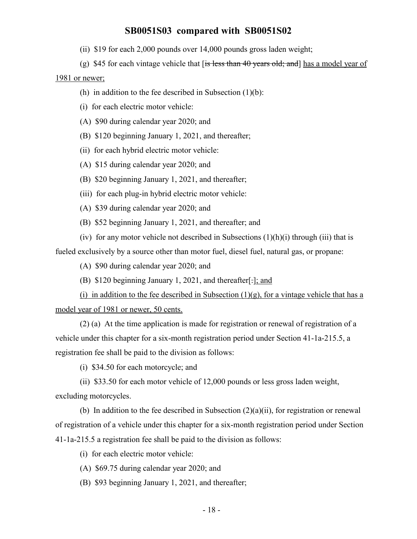- (ii) \$19 for each 2,000 pounds over 14,000 pounds gross laden weight;
- (g) \$45 for each vintage vehicle that  $f$  is less than 40 years old; and has a model year of

#### 1981 or newer;

- (h) in addition to the fee described in Subsection  $(1)(b)$ :
- (i) for each electric motor vehicle:
- (A) \$90 during calendar year 2020; and
- (B) \$120 beginning January 1, 2021, and thereafter;
- (ii) for each hybrid electric motor vehicle:
- (A) \$15 during calendar year 2020; and
- (B) \$20 beginning January 1, 2021, and thereafter;
- (iii) for each plug-in hybrid electric motor vehicle:
- (A) \$39 during calendar year 2020; and
- (B) \$52 beginning January 1, 2021, and thereafter; and

(iv) for any motor vehicle not described in Subsections  $(1)(h)(i)$  through (iii) that is fueled exclusively by a source other than motor fuel, diesel fuel, natural gas, or propane:

(A) \$90 during calendar year 2020; and

(B) \$120 beginning January 1, 2021, and thereafter[.]; and

(i) in addition to the fee described in Subsection  $(1)(g)$ , for a vintage vehicle that has a model year of 1981 or newer, 50 cents.

(2) (a) At the time application is made for registration or renewal of registration of a vehicle under this chapter for a six-month registration period under Section 41-1a-215.5, a registration fee shall be paid to the division as follows:

(i) \$34.50 for each motorcycle; and

(ii) \$33.50 for each motor vehicle of 12,000 pounds or less gross laden weight, excluding motorcycles.

(b) In addition to the fee described in Subsection  $(2)(a)(ii)$ , for registration or renewal of registration of a vehicle under this chapter for a six-month registration period under Section 41-1a-215.5 a registration fee shall be paid to the division as follows:

(i) for each electric motor vehicle:

- (A) \$69.75 during calendar year 2020; and
- (B) \$93 beginning January 1, 2021, and thereafter;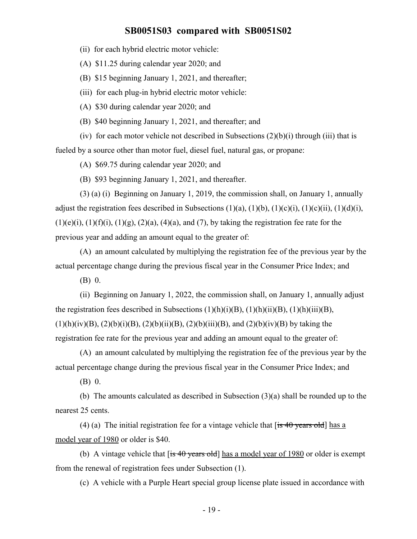(ii) for each hybrid electric motor vehicle:

(A) \$11.25 during calendar year 2020; and

(B) \$15 beginning January 1, 2021, and thereafter;

(iii) for each plug-in hybrid electric motor vehicle:

(A) \$30 during calendar year 2020; and

(B) \$40 beginning January 1, 2021, and thereafter; and

(iv) for each motor vehicle not described in Subsections  $(2)(b)(i)$  through (iii) that is fueled by a source other than motor fuel, diesel fuel, natural gas, or propane:

(A) \$69.75 during calendar year 2020; and

(B) \$93 beginning January 1, 2021, and thereafter.

(3) (a) (i) Beginning on January 1, 2019, the commission shall, on January 1, annually adjust the registration fees described in Subsections  $(1)(a)$ ,  $(1)(b)$ ,  $(1)(c)(i)$ ,  $(1)(c)(ii)$ ,  $(1)(d)(i)$ ,  $(1)(e)(i)$ ,  $(1)(f)(i)$ ,  $(1)(g)$ ,  $(2)(a)$ ,  $(4)(a)$ , and  $(7)$ , by taking the registration fee rate for the previous year and adding an amount equal to the greater of:

(A) an amount calculated by multiplying the registration fee of the previous year by the actual percentage change during the previous fiscal year in the Consumer Price Index; and

(B) 0.

(ii) Beginning on January 1, 2022, the commission shall, on January 1, annually adjust the registration fees described in Subsections  $(1)(h)(i)(B)$ ,  $(1)(h)(ii)(B)$ ,  $(1)(h)(iii)(B)$ ,  $(1)(h)(iv)(B), (2)(b)(i)(B), (2)(b)(ii)(B), (2)(b)(iii)(B), and (2)(b)(iv)(B) by taking the$ registration fee rate for the previous year and adding an amount equal to the greater of:

(A) an amount calculated by multiplying the registration fee of the previous year by the actual percentage change during the previous fiscal year in the Consumer Price Index; and

(B) 0.

(b) The amounts calculated as described in Subsection (3)(a) shall be rounded up to the nearest 25 cents.

(4) (a) The initial registration fee for a vintage vehicle that  $[i\sin 40 \text{ years old}]$  has a model year of 1980 or older is \$40.

(b) A vintage vehicle that  $[**is 40 years old**] has a model year of 1980 or older is exempt$ from the renewal of registration fees under Subsection (1).

(c) A vehicle with a Purple Heart special group license plate issued in accordance with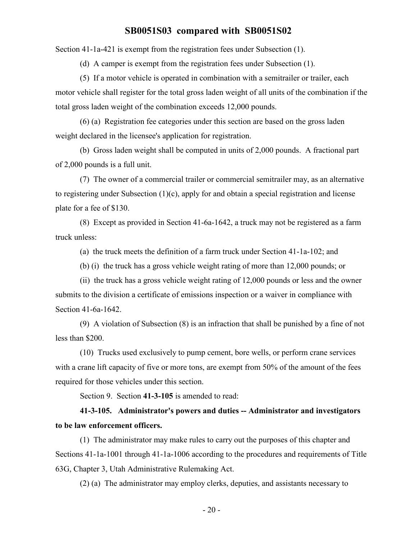Section 41-1a-421 is exempt from the registration fees under Subsection (1).

(d) A camper is exempt from the registration fees under Subsection (1).

(5) If a motor vehicle is operated in combination with a semitrailer or trailer, each motor vehicle shall register for the total gross laden weight of all units of the combination if the total gross laden weight of the combination exceeds 12,000 pounds.

(6) (a) Registration fee categories under this section are based on the gross laden weight declared in the licensee's application for registration.

(b) Gross laden weight shall be computed in units of 2,000 pounds. A fractional part of 2,000 pounds is a full unit.

(7) The owner of a commercial trailer or commercial semitrailer may, as an alternative to registering under Subsection (1)(c), apply for and obtain a special registration and license plate for a fee of \$130.

(8) Except as provided in Section 41-6a-1642, a truck may not be registered as a farm truck unless:

(a) the truck meets the definition of a farm truck under Section 41-1a-102; and

(b) (i) the truck has a gross vehicle weight rating of more than 12,000 pounds; or

(ii) the truck has a gross vehicle weight rating of 12,000 pounds or less and the owner submits to the division a certificate of emissions inspection or a waiver in compliance with Section 41-6a-1642.

(9) A violation of Subsection (8) is an infraction that shall be punished by a fine of not less than \$200.

(10) Trucks used exclusively to pump cement, bore wells, or perform crane services with a crane lift capacity of five or more tons, are exempt from 50% of the amount of the fees required for those vehicles under this section.

Section 9. Section **41-3-105** is amended to read:

**41-3-105. Administrator's powers and duties -- Administrator and investigators to be law enforcement officers.**

(1) The administrator may make rules to carry out the purposes of this chapter and Sections 41-1a-1001 through 41-1a-1006 according to the procedures and requirements of Title 63G, Chapter 3, Utah Administrative Rulemaking Act.

(2) (a) The administrator may employ clerks, deputies, and assistants necessary to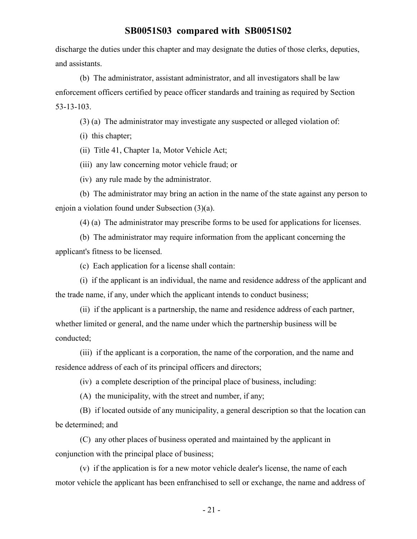discharge the duties under this chapter and may designate the duties of those clerks, deputies, and assistants.

(b) The administrator, assistant administrator, and all investigators shall be law enforcement officers certified by peace officer standards and training as required by Section 53-13-103.

(3) (a) The administrator may investigate any suspected or alleged violation of:

(i) this chapter;

(ii) Title 41, Chapter 1a, Motor Vehicle Act;

(iii) any law concerning motor vehicle fraud; or

(iv) any rule made by the administrator.

(b) The administrator may bring an action in the name of the state against any person to enjoin a violation found under Subsection (3)(a).

(4) (a) The administrator may prescribe forms to be used for applications for licenses.

(b) The administrator may require information from the applicant concerning the applicant's fitness to be licensed.

(c) Each application for a license shall contain:

(i) if the applicant is an individual, the name and residence address of the applicant and the trade name, if any, under which the applicant intends to conduct business;

(ii) if the applicant is a partnership, the name and residence address of each partner, whether limited or general, and the name under which the partnership business will be conducted;

(iii) if the applicant is a corporation, the name of the corporation, and the name and residence address of each of its principal officers and directors;

(iv) a complete description of the principal place of business, including:

(A) the municipality, with the street and number, if any;

(B) if located outside of any municipality, a general description so that the location can be determined; and

(C) any other places of business operated and maintained by the applicant in conjunction with the principal place of business;

(v) if the application is for a new motor vehicle dealer's license, the name of each motor vehicle the applicant has been enfranchised to sell or exchange, the name and address of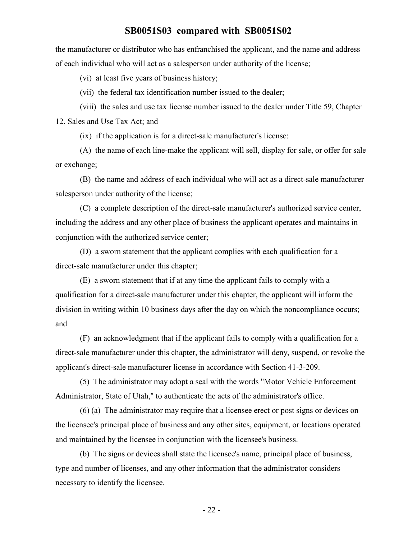the manufacturer or distributor who has enfranchised the applicant, and the name and address of each individual who will act as a salesperson under authority of the license;

(vi) at least five years of business history;

(vii) the federal tax identification number issued to the dealer;

(viii) the sales and use tax license number issued to the dealer under Title 59, Chapter 12, Sales and Use Tax Act; and

(ix) if the application is for a direct-sale manufacturer's license:

(A) the name of each line-make the applicant will sell, display for sale, or offer for sale or exchange;

(B) the name and address of each individual who will act as a direct-sale manufacturer salesperson under authority of the license;

(C) a complete description of the direct-sale manufacturer's authorized service center, including the address and any other place of business the applicant operates and maintains in conjunction with the authorized service center;

(D) a sworn statement that the applicant complies with each qualification for a direct-sale manufacturer under this chapter;

(E) a sworn statement that if at any time the applicant fails to comply with a qualification for a direct-sale manufacturer under this chapter, the applicant will inform the division in writing within 10 business days after the day on which the noncompliance occurs; and

(F) an acknowledgment that if the applicant fails to comply with a qualification for a direct-sale manufacturer under this chapter, the administrator will deny, suspend, or revoke the applicant's direct-sale manufacturer license in accordance with Section 41-3-209.

(5) The administrator may adopt a seal with the words "Motor Vehicle Enforcement Administrator, State of Utah," to authenticate the acts of the administrator's office.

(6) (a) The administrator may require that a licensee erect or post signs or devices on the licensee's principal place of business and any other sites, equipment, or locations operated and maintained by the licensee in conjunction with the licensee's business.

(b) The signs or devices shall state the licensee's name, principal place of business, type and number of licenses, and any other information that the administrator considers necessary to identify the licensee.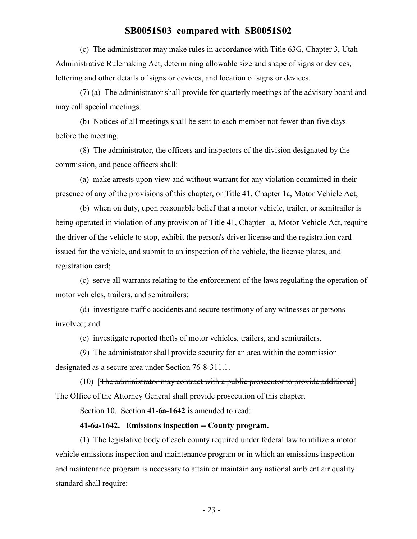(c) The administrator may make rules in accordance with Title 63G, Chapter 3, Utah Administrative Rulemaking Act, determining allowable size and shape of signs or devices, lettering and other details of signs or devices, and location of signs or devices.

(7) (a) The administrator shall provide for quarterly meetings of the advisory board and may call special meetings.

(b) Notices of all meetings shall be sent to each member not fewer than five days before the meeting.

(8) The administrator, the officers and inspectors of the division designated by the commission, and peace officers shall:

(a) make arrests upon view and without warrant for any violation committed in their presence of any of the provisions of this chapter, or Title 41, Chapter 1a, Motor Vehicle Act;

(b) when on duty, upon reasonable belief that a motor vehicle, trailer, or semitrailer is being operated in violation of any provision of Title 41, Chapter 1a, Motor Vehicle Act, require the driver of the vehicle to stop, exhibit the person's driver license and the registration card issued for the vehicle, and submit to an inspection of the vehicle, the license plates, and registration card;

(c) serve all warrants relating to the enforcement of the laws regulating the operation of motor vehicles, trailers, and semitrailers;

(d) investigate traffic accidents and secure testimony of any witnesses or persons involved; and

(e) investigate reported thefts of motor vehicles, trailers, and semitrailers.

(9) The administrator shall provide security for an area within the commission designated as a secure area under Section 76-8-311.1.

(10) [The administrator may contract with a public prosecutor to provide additional] The Office of the Attorney General shall provide prosecution of this chapter.

Section 10. Section **41-6a-1642** is amended to read:

#### **41-6a-1642. Emissions inspection -- County program.**

(1) The legislative body of each county required under federal law to utilize a motor vehicle emissions inspection and maintenance program or in which an emissions inspection and maintenance program is necessary to attain or maintain any national ambient air quality standard shall require: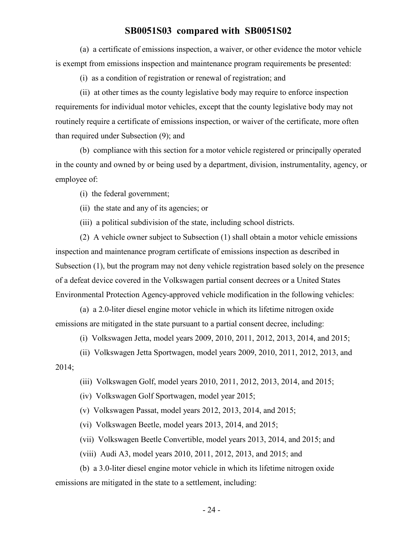(a) a certificate of emissions inspection, a waiver, or other evidence the motor vehicle is exempt from emissions inspection and maintenance program requirements be presented:

(i) as a condition of registration or renewal of registration; and

(ii) at other times as the county legislative body may require to enforce inspection requirements for individual motor vehicles, except that the county legislative body may not routinely require a certificate of emissions inspection, or waiver of the certificate, more often than required under Subsection (9); and

(b) compliance with this section for a motor vehicle registered or principally operated in the county and owned by or being used by a department, division, instrumentality, agency, or employee of:

(i) the federal government;

(ii) the state and any of its agencies; or

(iii) a political subdivision of the state, including school districts.

(2) A vehicle owner subject to Subsection (1) shall obtain a motor vehicle emissions inspection and maintenance program certificate of emissions inspection as described in Subsection (1), but the program may not deny vehicle registration based solely on the presence of a defeat device covered in the Volkswagen partial consent decrees or a United States Environmental Protection Agency-approved vehicle modification in the following vehicles:

(a) a 2.0-liter diesel engine motor vehicle in which its lifetime nitrogen oxide emissions are mitigated in the state pursuant to a partial consent decree, including:

(i) Volkswagen Jetta, model years 2009, 2010, 2011, 2012, 2013, 2014, and 2015;

(ii) Volkswagen Jetta Sportwagen, model years 2009, 2010, 2011, 2012, 2013, and 2014;

(iii) Volkswagen Golf, model years 2010, 2011, 2012, 2013, 2014, and 2015;

(iv) Volkswagen Golf Sportwagen, model year 2015;

(v) Volkswagen Passat, model years 2012, 2013, 2014, and 2015;

(vi) Volkswagen Beetle, model years 2013, 2014, and 2015;

(vii) Volkswagen Beetle Convertible, model years 2013, 2014, and 2015; and

(viii) Audi A3, model years 2010, 2011, 2012, 2013, and 2015; and

(b) a 3.0-liter diesel engine motor vehicle in which its lifetime nitrogen oxide emissions are mitigated in the state to a settlement, including: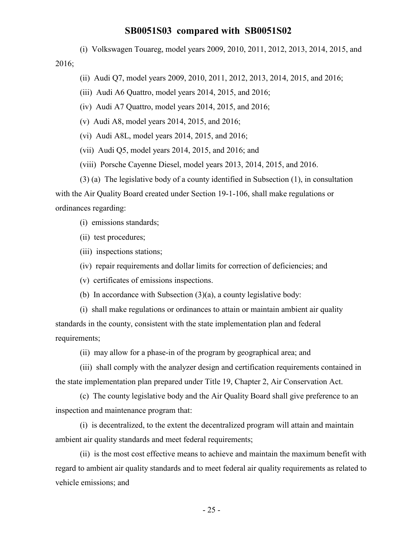(i) Volkswagen Touareg, model years 2009, 2010, 2011, 2012, 2013, 2014, 2015, and

2016;

- (ii) Audi Q7, model years 2009, 2010, 2011, 2012, 2013, 2014, 2015, and 2016;
- (iii) Audi A6 Quattro, model years 2014, 2015, and 2016;
- (iv) Audi A7 Quattro, model years 2014, 2015, and 2016;
- (v) Audi A8, model years 2014, 2015, and 2016;
- (vi) Audi A8L, model years 2014, 2015, and 2016;
- (vii) Audi Q5, model years 2014, 2015, and 2016; and
- (viii) Porsche Cayenne Diesel, model years 2013, 2014, 2015, and 2016.
- (3) (a) The legislative body of a county identified in Subsection (1), in consultation

with the Air Quality Board created under Section 19-1-106, shall make regulations or ordinances regarding:

(i) emissions standards;

(ii) test procedures;

- (iii) inspections stations;
- (iv) repair requirements and dollar limits for correction of deficiencies; and
- (v) certificates of emissions inspections.
- (b) In accordance with Subsection (3)(a), a county legislative body:

(i) shall make regulations or ordinances to attain or maintain ambient air quality standards in the county, consistent with the state implementation plan and federal requirements;

(ii) may allow for a phase-in of the program by geographical area; and

(iii) shall comply with the analyzer design and certification requirements contained in the state implementation plan prepared under Title 19, Chapter 2, Air Conservation Act.

(c) The county legislative body and the Air Quality Board shall give preference to an inspection and maintenance program that:

(i) is decentralized, to the extent the decentralized program will attain and maintain ambient air quality standards and meet federal requirements;

(ii) is the most cost effective means to achieve and maintain the maximum benefit with regard to ambient air quality standards and to meet federal air quality requirements as related to vehicle emissions; and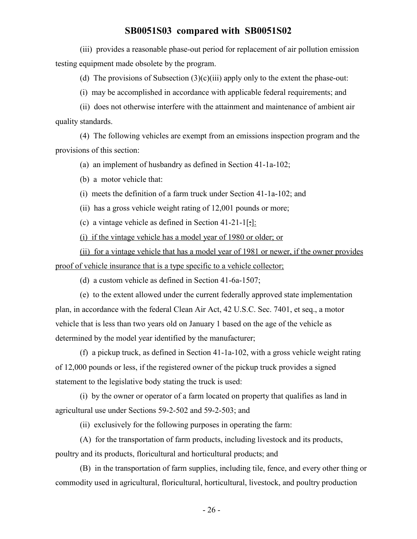(iii) provides a reasonable phase-out period for replacement of air pollution emission testing equipment made obsolete by the program.

(d) The provisions of Subsection  $(3)(c)(iii)$  apply only to the extent the phase-out:

(i) may be accomplished in accordance with applicable federal requirements; and

(ii) does not otherwise interfere with the attainment and maintenance of ambient air quality standards.

(4) The following vehicles are exempt from an emissions inspection program and the provisions of this section:

(a) an implement of husbandry as defined in Section 41-1a-102;

(b) a motor vehicle that:

(i) meets the definition of a farm truck under Section 41-1a-102; and

(ii) has a gross vehicle weight rating of 12,001 pounds or more;

(c) a vintage vehicle as defined in Section 41-21-1[;]:

(i) if the vintage vehicle has a model year of 1980 or older; or

(ii) for a vintage vehicle that has a model year of 1981 or newer, if the owner provides proof of vehicle insurance that is a type specific to a vehicle collector;

(d) a custom vehicle as defined in Section 41-6a-1507;

(e) to the extent allowed under the current federally approved state implementation plan, in accordance with the federal Clean Air Act, 42 U.S.C. Sec. 7401, et seq., a motor vehicle that is less than two years old on January 1 based on the age of the vehicle as determined by the model year identified by the manufacturer;

(f) a pickup truck, as defined in Section 41-1a-102, with a gross vehicle weight rating of 12,000 pounds or less, if the registered owner of the pickup truck provides a signed statement to the legislative body stating the truck is used:

(i) by the owner or operator of a farm located on property that qualifies as land in agricultural use under Sections 59-2-502 and 59-2-503; and

(ii) exclusively for the following purposes in operating the farm:

(A) for the transportation of farm products, including livestock and its products, poultry and its products, floricultural and horticultural products; and

(B) in the transportation of farm supplies, including tile, fence, and every other thing or commodity used in agricultural, floricultural, horticultural, livestock, and poultry production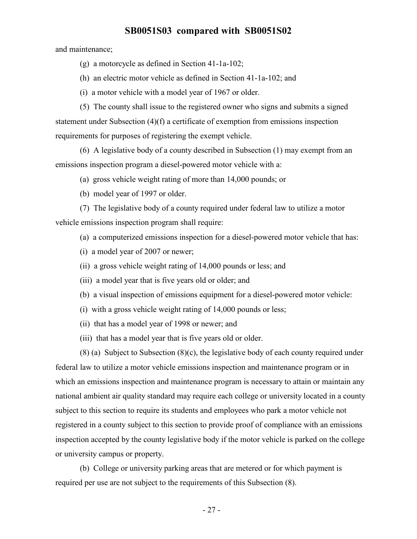and maintenance;

- (g) a motorcycle as defined in Section 41-1a-102;
- (h) an electric motor vehicle as defined in Section 41-1a-102; and
- (i) a motor vehicle with a model year of 1967 or older.

(5) The county shall issue to the registered owner who signs and submits a signed statement under Subsection (4)(f) a certificate of exemption from emissions inspection requirements for purposes of registering the exempt vehicle.

(6) A legislative body of a county described in Subsection (1) may exempt from an emissions inspection program a diesel-powered motor vehicle with a:

- (a) gross vehicle weight rating of more than 14,000 pounds; or
- (b) model year of 1997 or older.

(7) The legislative body of a county required under federal law to utilize a motor vehicle emissions inspection program shall require:

- (a) a computerized emissions inspection for a diesel-powered motor vehicle that has:
- (i) a model year of 2007 or newer;
- (ii) a gross vehicle weight rating of 14,000 pounds or less; and
- (iii) a model year that is five years old or older; and
- (b) a visual inspection of emissions equipment for a diesel-powered motor vehicle:
- (i) with a gross vehicle weight rating of 14,000 pounds or less;
- (ii) that has a model year of 1998 or newer; and
- (iii) that has a model year that is five years old or older.

(8) (a) Subject to Subsection (8)(c), the legislative body of each county required under federal law to utilize a motor vehicle emissions inspection and maintenance program or in which an emissions inspection and maintenance program is necessary to attain or maintain any national ambient air quality standard may require each college or university located in a county subject to this section to require its students and employees who park a motor vehicle not registered in a county subject to this section to provide proof of compliance with an emissions inspection accepted by the county legislative body if the motor vehicle is parked on the college or university campus or property.

(b) College or university parking areas that are metered or for which payment is required per use are not subject to the requirements of this Subsection (8).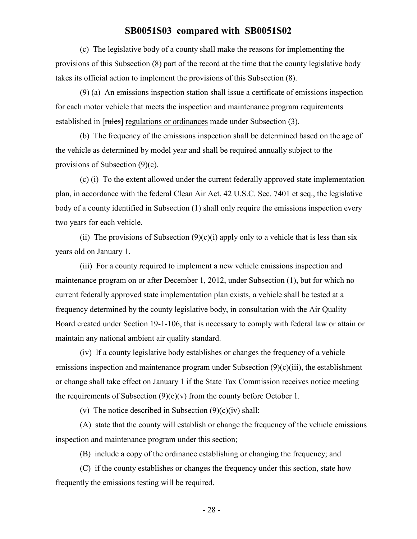(c) The legislative body of a county shall make the reasons for implementing the provisions of this Subsection (8) part of the record at the time that the county legislative body takes its official action to implement the provisions of this Subsection (8).

(9) (a) An emissions inspection station shall issue a certificate of emissions inspection for each motor vehicle that meets the inspection and maintenance program requirements established in [rules] regulations or ordinances made under Subsection (3).

(b) The frequency of the emissions inspection shall be determined based on the age of the vehicle as determined by model year and shall be required annually subject to the provisions of Subsection (9)(c).

(c) (i) To the extent allowed under the current federally approved state implementation plan, in accordance with the federal Clean Air Act, 42 U.S.C. Sec. 7401 et seq., the legislative body of a county identified in Subsection (1) shall only require the emissions inspection every two years for each vehicle.

(ii) The provisions of Subsection  $(9)(c)(i)$  apply only to a vehicle that is less than six years old on January 1.

(iii) For a county required to implement a new vehicle emissions inspection and maintenance program on or after December 1, 2012, under Subsection (1), but for which no current federally approved state implementation plan exists, a vehicle shall be tested at a frequency determined by the county legislative body, in consultation with the Air Quality Board created under Section 19-1-106, that is necessary to comply with federal law or attain or maintain any national ambient air quality standard.

(iv) If a county legislative body establishes or changes the frequency of a vehicle emissions inspection and maintenance program under Subsection (9)(c)(iii), the establishment or change shall take effect on January 1 if the State Tax Commission receives notice meeting the requirements of Subsection  $(9)(c)(v)$  from the county before October 1.

(v) The notice described in Subsection  $(9)(c)(iv)$  shall:

(A) state that the county will establish or change the frequency of the vehicle emissions inspection and maintenance program under this section;

(B) include a copy of the ordinance establishing or changing the frequency; and

(C) if the county establishes or changes the frequency under this section, state how frequently the emissions testing will be required.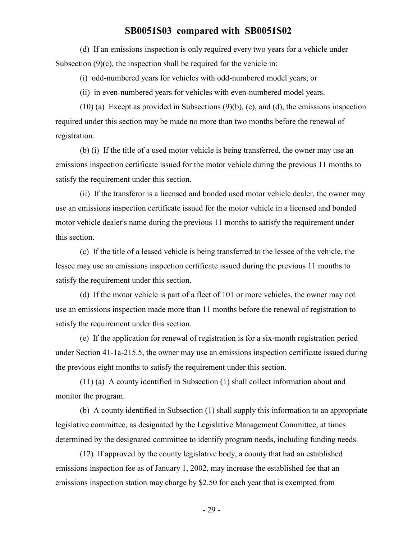(d) If an emissions inspection is only required every two years for a vehicle under Subsection  $(9)(c)$ , the inspection shall be required for the vehicle in:

(i) odd-numbered years for vehicles with odd-numbered model years; or

(ii) in even-numbered years for vehicles with even-numbered model years.

(10) (a) Except as provided in Subsections (9)(b), (c), and (d), the emissions inspection required under this section may be made no more than two months before the renewal of registration.

(b) (i) If the title of a used motor vehicle is being transferred, the owner may use an emissions inspection certificate issued for the motor vehicle during the previous 11 months to satisfy the requirement under this section.

(ii) If the transferor is a licensed and bonded used motor vehicle dealer, the owner may use an emissions inspection certificate issued for the motor vehicle in a licensed and bonded motor vehicle dealer's name during the previous 11 months to satisfy the requirement under this section.

(c) If the title of a leased vehicle is being transferred to the lessee of the vehicle, the lessee may use an emissions inspection certificate issued during the previous 11 months to satisfy the requirement under this section.

(d) If the motor vehicle is part of a fleet of 101 or more vehicles, the owner may not use an emissions inspection made more than 11 months before the renewal of registration to satisfy the requirement under this section.

(e) If the application for renewal of registration is for a six-month registration period under Section 41-1a-215.5, the owner may use an emissions inspection certificate issued during the previous eight months to satisfy the requirement under this section.

(11) (a) A county identified in Subsection (1) shall collect information about and monitor the program.

(b) A county identified in Subsection (1) shall supply this information to an appropriate legislative committee, as designated by the Legislative Management Committee, at times determined by the designated committee to identify program needs, including funding needs.

(12) If approved by the county legislative body, a county that had an established emissions inspection fee as of January 1, 2002, may increase the established fee that an emissions inspection station may charge by \$2.50 for each year that is exempted from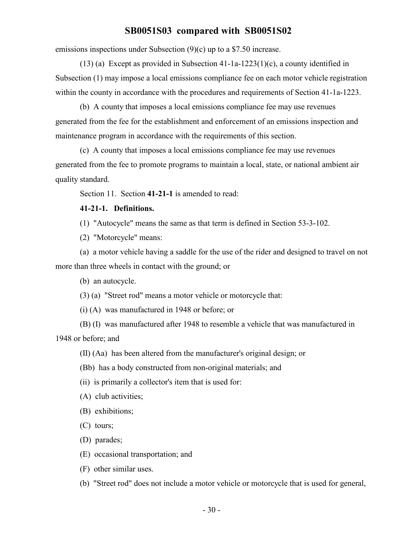emissions inspections under Subsection (9)(c) up to a \$7.50 increase.

(13) (a) Except as provided in Subsection 41-1a-1223(1)(c), a county identified in Subsection (1) may impose a local emissions compliance fee on each motor vehicle registration within the county in accordance with the procedures and requirements of Section 41-1a-1223.

(b) A county that imposes a local emissions compliance fee may use revenues generated from the fee for the establishment and enforcement of an emissions inspection and maintenance program in accordance with the requirements of this section.

(c) A county that imposes a local emissions compliance fee may use revenues generated from the fee to promote programs to maintain a local, state, or national ambient air quality standard.

Section 11. Section **41-21-1** is amended to read:

#### **41-21-1. Definitions.**

(1) "Autocycle" means the same as that term is defined in Section 53-3-102.

(2) "Motorcycle" means:

(a) a motor vehicle having a saddle for the use of the rider and designed to travel on not more than three wheels in contact with the ground; or

(b) an autocycle.

(3) (a) "Street rod" means a motor vehicle or motorcycle that:

(i) (A) was manufactured in 1948 or before; or

(B) (I) was manufactured after 1948 to resemble a vehicle that was manufactured in

1948 or before; and

(II) (Aa) has been altered from the manufacturer's original design; or

(Bb) has a body constructed from non-original materials; and

(ii) is primarily a collector's item that is used for:

(A) club activities;

(B) exhibitions;

(C) tours;

(D) parades;

(E) occasional transportation; and

(F) other similar uses.

(b) "Street rod" does not include a motor vehicle or motorcycle that is used for general,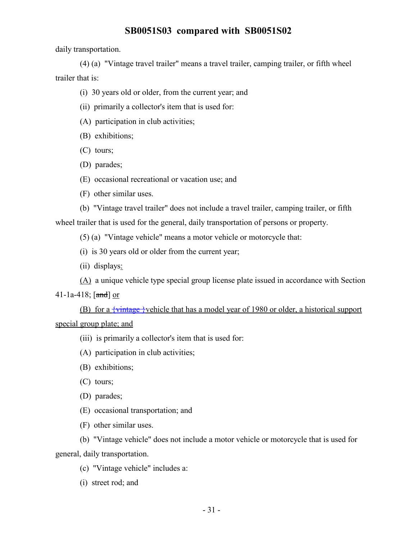daily transportation.

(4) (a) "Vintage travel trailer" means a travel trailer, camping trailer, or fifth wheel trailer that is:

(i) 30 years old or older, from the current year; and

(ii) primarily a collector's item that is used for:

(A) participation in club activities;

(B) exhibitions;

(C) tours;

(D) parades;

(E) occasional recreational or vacation use; and

(F) other similar uses.

(b) "Vintage travel trailer" does not include a travel trailer, camping trailer, or fifth

wheel trailer that is used for the general, daily transportation of persons or property.

(5) (a) "Vintage vehicle" means a motor vehicle or motorcycle that:

(i) is 30 years old or older from the current year;

(ii) displays:

(A) a unique vehicle type special group license plate issued in accordance with Section

#### 41-1a-418;  $[3 \text{ and } 3]$  or

(B) for a  $\{\text{vintage}\}\$  vehicle that has a model year of 1980 or older, a historical support special group plate; and

(iii) is primarily a collector's item that is used for:

(A) participation in club activities;

(B) exhibitions;

(C) tours;

(D) parades;

(E) occasional transportation; and

(F) other similar uses.

(b) "Vintage vehicle" does not include a motor vehicle or motorcycle that is used for general, daily transportation.

(c) "Vintage vehicle" includes a:

(i) street rod; and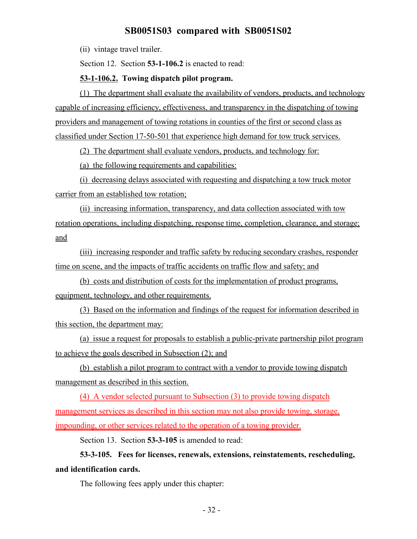(ii) vintage travel trailer.

Section 12. Section **53-1-106.2** is enacted to read:

#### **53-1-106.2. Towing dispatch pilot program.**

(1) The department shall evaluate the availability of vendors, products, and technology capable of increasing efficiency, effectiveness, and transparency in the dispatching of towing providers and management of towing rotations in counties of the first or second class as classified under Section 17-50-501 that experience high demand for tow truck services.

(2) The department shall evaluate vendors, products, and technology for:

(a) the following requirements and capabilities:

(i) decreasing delays associated with requesting and dispatching a tow truck motor carrier from an established tow rotation;

(ii) increasing information, transparency, and data collection associated with tow rotation operations, including dispatching, response time, completion, clearance, and storage; and

(iii) increasing responder and traffic safety by reducing secondary crashes, responder time on scene, and the impacts of traffic accidents on traffic flow and safety; and

(b) costs and distribution of costs for the implementation of product programs, equipment, technology, and other requirements.

(3) Based on the information and findings of the request for information described in this section, the department may:

(a) issue a request for proposals to establish a public-private partnership pilot program to achieve the goals described in Subsection (2); and

(b) establish a pilot program to contract with a vendor to provide towing dispatch management as described in this section.

(4) A vendor selected pursuant to Subsection (3) to provide towing dispatch management services as described in this section may not also provide towing, storage, impounding, or other services related to the operation of a towing provider.

Section 13. Section **53-3-105** is amended to read:

**53-3-105. Fees for licenses, renewals, extensions, reinstatements, rescheduling, and identification cards.**

The following fees apply under this chapter: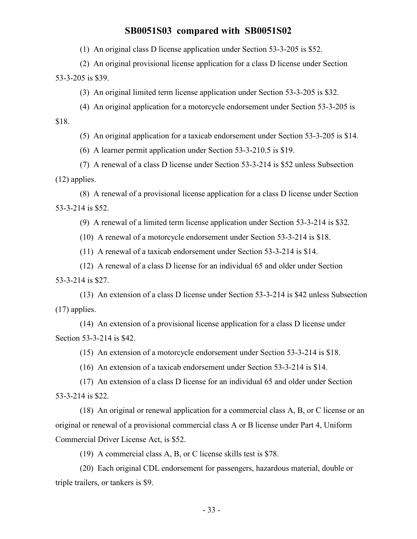(1) An original class D license application under Section 53-3-205 is \$52.

(2) An original provisional license application for a class D license under Section 53-3-205 is \$39.

(3) An original limited term license application under Section 53-3-205 is \$32.

(4) An original application for a motorcycle endorsement under Section 53-3-205 is

\$18.

(5) An original application for a taxicab endorsement under Section 53-3-205 is \$14.

(6) A learner permit application under Section 53-3-210.5 is \$19.

(7) A renewal of a class D license under Section 53-3-214 is \$52 unless Subsection (12) applies.

(8) A renewal of a provisional license application for a class D license under Section 53-3-214 is \$52.

(9) A renewal of a limited term license application under Section 53-3-214 is \$32.

(10) A renewal of a motorcycle endorsement under Section 53-3-214 is \$18.

(11) A renewal of a taxicab endorsement under Section 53-3-214 is \$14.

(12) A renewal of a class D license for an individual 65 and older under Section 53-3-214 is \$27.

(13) An extension of a class D license under Section 53-3-214 is \$42 unless Subsection (17) applies.

(14) An extension of a provisional license application for a class D license under Section 53-3-214 is \$42.

(15) An extension of a motorcycle endorsement under Section 53-3-214 is \$18.

(16) An extension of a taxicab endorsement under Section 53-3-214 is \$14.

(17) An extension of a class D license for an individual 65 and older under Section 53-3-214 is \$22.

(18) An original or renewal application for a commercial class A, B, or C license or an original or renewal of a provisional commercial class A or B license under Part 4, Uniform Commercial Driver License Act, is \$52.

(19) A commercial class A, B, or C license skills test is \$78.

(20) Each original CDL endorsement for passengers, hazardous material, double or triple trailers, or tankers is \$9.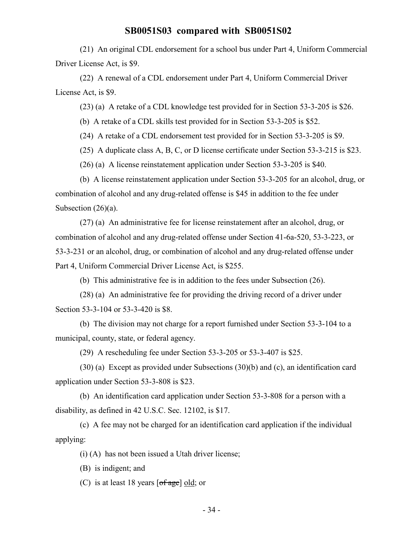(21) An original CDL endorsement for a school bus under Part 4, Uniform Commercial Driver License Act, is \$9.

(22) A renewal of a CDL endorsement under Part 4, Uniform Commercial Driver License Act, is \$9.

(23) (a) A retake of a CDL knowledge test provided for in Section 53-3-205 is \$26.

(b) A retake of a CDL skills test provided for in Section 53-3-205 is \$52.

(24) A retake of a CDL endorsement test provided for in Section 53-3-205 is \$9.

(25) A duplicate class A, B, C, or D license certificate under Section 53-3-215 is \$23.

(26) (a) A license reinstatement application under Section 53-3-205 is \$40.

(b) A license reinstatement application under Section 53-3-205 for an alcohol, drug, or combination of alcohol and any drug-related offense is \$45 in addition to the fee under Subsection (26)(a).

(27) (a) An administrative fee for license reinstatement after an alcohol, drug, or combination of alcohol and any drug-related offense under Section 41-6a-520, 53-3-223, or 53-3-231 or an alcohol, drug, or combination of alcohol and any drug-related offense under Part 4, Uniform Commercial Driver License Act, is \$255.

(b) This administrative fee is in addition to the fees under Subsection (26).

(28) (a) An administrative fee for providing the driving record of a driver under Section 53-3-104 or 53-3-420 is \$8.

(b) The division may not charge for a report furnished under Section 53-3-104 to a municipal, county, state, or federal agency.

(29) A rescheduling fee under Section 53-3-205 or 53-3-407 is \$25.

(30) (a) Except as provided under Subsections (30)(b) and (c), an identification card application under Section 53-3-808 is \$23.

(b) An identification card application under Section 53-3-808 for a person with a disability, as defined in 42 U.S.C. Sec. 12102, is \$17.

(c) A fee may not be charged for an identification card application if the individual applying:

(i) (A) has not been issued a Utah driver license;

(B) is indigent; and

(C) is at least 18 years  $\lceil \text{of age} \rceil \text{ old}$ ; or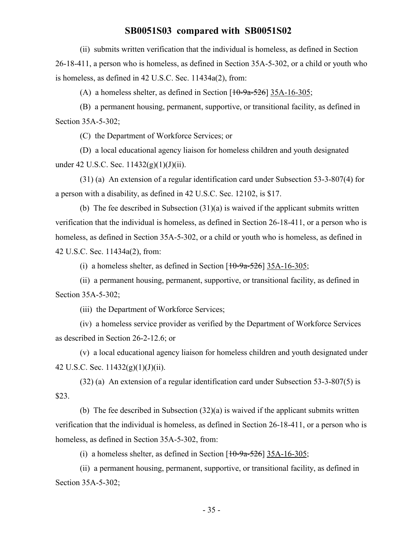(ii) submits written verification that the individual is homeless, as defined in Section 26-18-411, a person who is homeless, as defined in Section 35A-5-302, or a child or youth who is homeless, as defined in 42 U.S.C. Sec. 11434a(2), from:

(A) a homeless shelter, as defined in Section  $[10-9a-526]$  35A-16-305;

(B) a permanent housing, permanent, supportive, or transitional facility, as defined in Section 35A-5-302;

(C) the Department of Workforce Services; or

(D) a local educational agency liaison for homeless children and youth designated under 42 U.S.C. Sec. 11432(g)(1)(J)(ii).

(31) (a) An extension of a regular identification card under Subsection 53-3-807(4) for a person with a disability, as defined in 42 U.S.C. Sec. 12102, is \$17.

(b) The fee described in Subsection  $(31)(a)$  is waived if the applicant submits written verification that the individual is homeless, as defined in Section 26-18-411, or a person who is homeless, as defined in Section 35A-5-302, or a child or youth who is homeless, as defined in 42 U.S.C. Sec. 11434a(2), from:

(i) a homeless shelter, as defined in Section  $[10-9a-526]$  35A-16-305;

(ii) a permanent housing, permanent, supportive, or transitional facility, as defined in Section 35A-5-302;

(iii) the Department of Workforce Services;

(iv) a homeless service provider as verified by the Department of Workforce Services as described in Section 26-2-12.6; or

(v) a local educational agency liaison for homeless children and youth designated under 42 U.S.C. Sec.  $11432(g)(1)(J)(ii)$ .

(32) (a) An extension of a regular identification card under Subsection 53-3-807(5) is \$23.

(b) The fee described in Subsection (32)(a) is waived if the applicant submits written verification that the individual is homeless, as defined in Section 26-18-411, or a person who is homeless, as defined in Section 35A-5-302, from:

(i) a homeless shelter, as defined in Section  $[10-9a-526]$  35A-16-305;

(ii) a permanent housing, permanent, supportive, or transitional facility, as defined in Section 35A-5-302;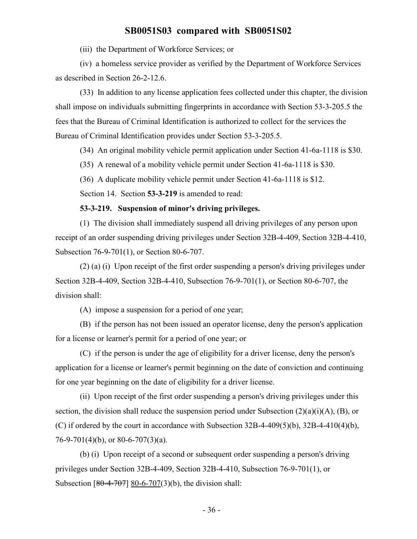(iii) the Department of Workforce Services; or

(iv) a homeless service provider as verified by the Department of Workforce Services as described in Section 26-2-12.6.

(33) In addition to any license application fees collected under this chapter, the division shall impose on individuals submitting fingerprints in accordance with Section 53-3-205.5 the fees that the Bureau of Criminal Identification is authorized to collect for the services the Bureau of Criminal Identification provides under Section 53-3-205.5.

(34) An original mobility vehicle permit application under Section 41-6a-1118 is \$30.

(35) A renewal of a mobility vehicle permit under Section 41-6a-1118 is \$30.

(36) A duplicate mobility vehicle permit under Section 41-6a-1118 is \$12.

Section 14. Section **53-3-219** is amended to read:

#### **53-3-219. Suspension of minor's driving privileges.**

(1) The division shall immediately suspend all driving privileges of any person upon receipt of an order suspending driving privileges under Section 32B-4-409, Section 32B-4-410, Subsection 76-9-701(1), or Section 80-6-707.

(2) (a) (i) Upon receipt of the first order suspending a person's driving privileges under Section 32B-4-409, Section 32B-4-410, Subsection 76-9-701(1), or Section 80-6-707, the division shall:

(A) impose a suspension for a period of one year;

(B) if the person has not been issued an operator license, deny the person's application for a license or learner's permit for a period of one year; or

(C) if the person is under the age of eligibility for a driver license, deny the person's application for a license or learner's permit beginning on the date of conviction and continuing for one year beginning on the date of eligibility for a driver license.

(ii) Upon receipt of the first order suspending a person's driving privileges under this section, the division shall reduce the suspension period under Subsection  $(2)(a)(i)(A)$ ,  $(B)$ , or (C) if ordered by the court in accordance with Subsection  $32B-4-409(5)(b)$ ,  $32B-4-410(4)(b)$ , 76-9-701(4)(b), or 80-6-707(3)(a).

(b) (i) Upon receipt of a second or subsequent order suspending a person's driving privileges under Section 32B-4-409, Section 32B-4-410, Subsection 76-9-701(1), or Subsection  $[80-4-707]$  80-6-707(3)(b), the division shall: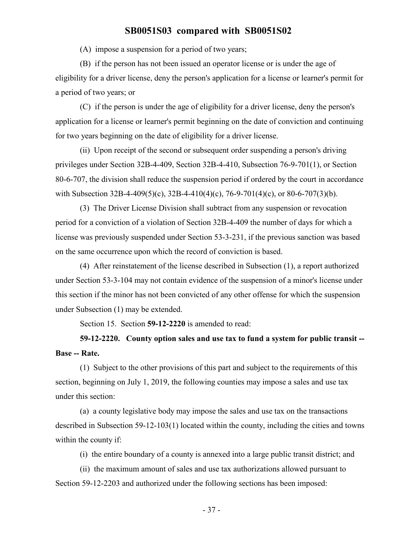(A) impose a suspension for a period of two years;

(B) if the person has not been issued an operator license or is under the age of eligibility for a driver license, deny the person's application for a license or learner's permit for a period of two years; or

(C) if the person is under the age of eligibility for a driver license, deny the person's application for a license or learner's permit beginning on the date of conviction and continuing for two years beginning on the date of eligibility for a driver license.

(ii) Upon receipt of the second or subsequent order suspending a person's driving privileges under Section 32B-4-409, Section 32B-4-410, Subsection 76-9-701(1), or Section 80-6-707, the division shall reduce the suspension period if ordered by the court in accordance with Subsection 32B-4-409(5)(c), 32B-4-410(4)(c), 76-9-701(4)(c), or 80-6-707(3)(b).

(3) The Driver License Division shall subtract from any suspension or revocation period for a conviction of a violation of Section 32B-4-409 the number of days for which a license was previously suspended under Section 53-3-231, if the previous sanction was based on the same occurrence upon which the record of conviction is based.

(4) After reinstatement of the license described in Subsection (1), a report authorized under Section 53-3-104 may not contain evidence of the suspension of a minor's license under this section if the minor has not been convicted of any other offense for which the suspension under Subsection (1) may be extended.

Section 15. Section **59-12-2220** is amended to read:

# **59-12-2220. County option sales and use tax to fund a system for public transit -- Base -- Rate.**

(1) Subject to the other provisions of this part and subject to the requirements of this section, beginning on July 1, 2019, the following counties may impose a sales and use tax under this section:

(a) a county legislative body may impose the sales and use tax on the transactions described in Subsection 59-12-103(1) located within the county, including the cities and towns within the county if:

(i) the entire boundary of a county is annexed into a large public transit district; and

(ii) the maximum amount of sales and use tax authorizations allowed pursuant to Section 59-12-2203 and authorized under the following sections has been imposed: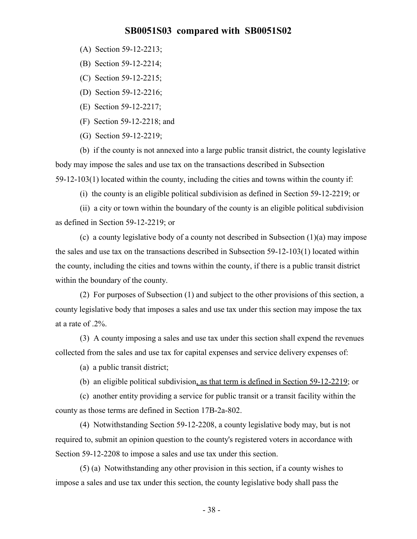- (A) Section 59-12-2213;
- (B) Section 59-12-2214;
- (C) Section 59-12-2215;
- (D) Section 59-12-2216;
- (E) Section 59-12-2217;
- (F) Section 59-12-2218; and
- (G) Section 59-12-2219;

(b) if the county is not annexed into a large public transit district, the county legislative body may impose the sales and use tax on the transactions described in Subsection 59-12-103(1) located within the county, including the cities and towns within the county if:

(i) the county is an eligible political subdivision as defined in Section 59-12-2219; or

(ii) a city or town within the boundary of the county is an eligible political subdivision as defined in Section 59-12-2219; or

(c) a county legislative body of a county not described in Subsection (1)(a) may impose the sales and use tax on the transactions described in Subsection 59-12-103(1) located within the county, including the cities and towns within the county, if there is a public transit district within the boundary of the county.

(2) For purposes of Subsection (1) and subject to the other provisions of this section, a county legislative body that imposes a sales and use tax under this section may impose the tax at a rate of .2%.

(3) A county imposing a sales and use tax under this section shall expend the revenues collected from the sales and use tax for capital expenses and service delivery expenses of:

(a) a public transit district;

(b) an eligible political subdivision, as that term is defined in Section 59-12-2219; or

(c) another entity providing a service for public transit or a transit facility within the county as those terms are defined in Section 17B-2a-802.

(4) Notwithstanding Section 59-12-2208, a county legislative body may, but is not required to, submit an opinion question to the county's registered voters in accordance with Section 59-12-2208 to impose a sales and use tax under this section.

(5) (a) Notwithstanding any other provision in this section, if a county wishes to impose a sales and use tax under this section, the county legislative body shall pass the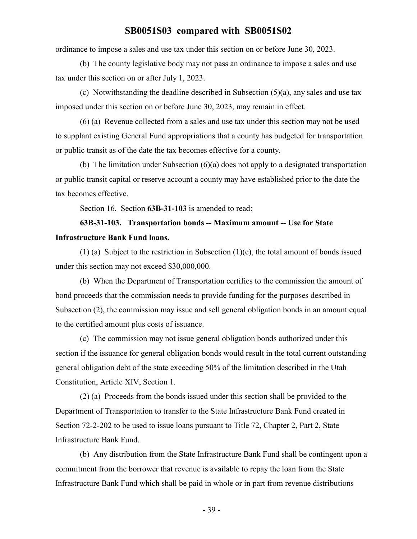ordinance to impose a sales and use tax under this section on or before June 30, 2023.

(b) The county legislative body may not pass an ordinance to impose a sales and use tax under this section on or after July 1, 2023.

(c) Notwithstanding the deadline described in Subsection (5)(a), any sales and use tax imposed under this section on or before June 30, 2023, may remain in effect.

(6) (a) Revenue collected from a sales and use tax under this section may not be used to supplant existing General Fund appropriations that a county has budgeted for transportation or public transit as of the date the tax becomes effective for a county.

(b) The limitation under Subsection (6)(a) does not apply to a designated transportation or public transit capital or reserve account a county may have established prior to the date the tax becomes effective.

Section 16. Section **63B-31-103** is amended to read:

# **63B-31-103. Transportation bonds -- Maximum amount -- Use for State Infrastructure Bank Fund loans.**

(1) (a) Subject to the restriction in Subsection (1)(c), the total amount of bonds issued under this section may not exceed \$30,000,000.

(b) When the Department of Transportation certifies to the commission the amount of bond proceeds that the commission needs to provide funding for the purposes described in Subsection (2), the commission may issue and sell general obligation bonds in an amount equal to the certified amount plus costs of issuance.

(c) The commission may not issue general obligation bonds authorized under this section if the issuance for general obligation bonds would result in the total current outstanding general obligation debt of the state exceeding 50% of the limitation described in the Utah Constitution, Article XIV, Section 1.

(2) (a) Proceeds from the bonds issued under this section shall be provided to the Department of Transportation to transfer to the State Infrastructure Bank Fund created in Section 72-2-202 to be used to issue loans pursuant to Title 72, Chapter 2, Part 2, State Infrastructure Bank Fund.

(b) Any distribution from the State Infrastructure Bank Fund shall be contingent upon a commitment from the borrower that revenue is available to repay the loan from the State Infrastructure Bank Fund which shall be paid in whole or in part from revenue distributions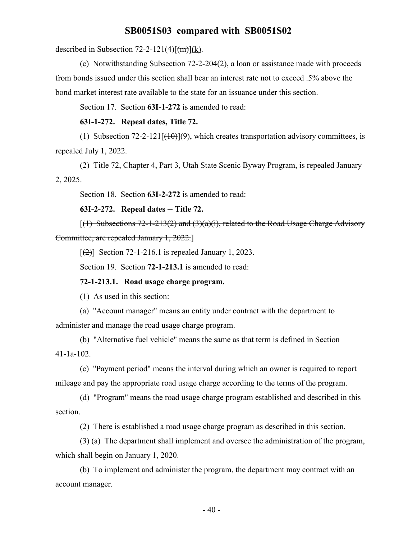described in Subsection 72-2-121(4) $\frac{f(m)}{k}$ .

(c) Notwithstanding Subsection 72-2-204(2), a loan or assistance made with proceeds from bonds issued under this section shall bear an interest rate not to exceed .5% above the bond market interest rate available to the state for an issuance under this section.

Section 17. Section **63I-1-272** is amended to read:

**63I-1-272. Repeal dates, Title 72.**

(1) Subsection 72-2-121 $[\overline{(10)}](9)$ , which creates transportation advisory committees, is repealed July 1, 2022.

(2) Title 72, Chapter 4, Part 3, Utah State Scenic Byway Program, is repealed January 2, 2025.

Section 18. Section **63I-2-272** is amended to read:

**63I-2-272. Repeal dates -- Title 72.**

 $[(1)$  Subsections 72-1-213(2) and (3)(a)(i), related to the Road Usage Charge Advisory Committee, are repealed January 1, 2022.]

 $\lceil$ (2)] Section 72-1-216.1 is repealed January 1, 2023.

Section 19. Section **72-1-213.1** is amended to read:

**72-1-213.1. Road usage charge program.**

(1) As used in this section:

(a) "Account manager" means an entity under contract with the department to administer and manage the road usage charge program.

(b) "Alternative fuel vehicle" means the same as that term is defined in Section 41-1a-102.

(c) "Payment period" means the interval during which an owner is required to report mileage and pay the appropriate road usage charge according to the terms of the program.

(d) "Program" means the road usage charge program established and described in this section.

(2) There is established a road usage charge program as described in this section.

(3) (a) The department shall implement and oversee the administration of the program, which shall begin on January 1, 2020.

(b) To implement and administer the program, the department may contract with an account manager.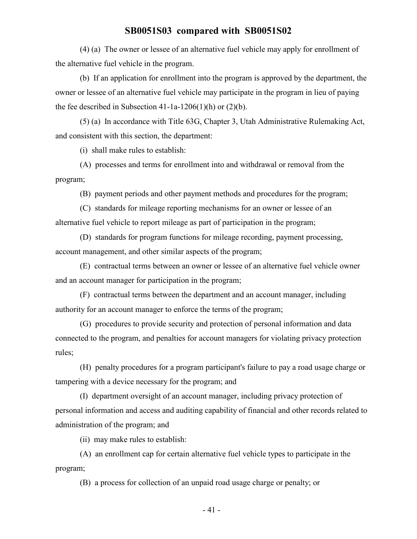(4) (a) The owner or lessee of an alternative fuel vehicle may apply for enrollment of the alternative fuel vehicle in the program.

(b) If an application for enrollment into the program is approved by the department, the owner or lessee of an alternative fuel vehicle may participate in the program in lieu of paying the fee described in Subsection 41-1a-1206(1)(h) or  $(2)(b)$ .

(5) (a) In accordance with Title 63G, Chapter 3, Utah Administrative Rulemaking Act, and consistent with this section, the department:

(i) shall make rules to establish:

(A) processes and terms for enrollment into and withdrawal or removal from the program;

(B) payment periods and other payment methods and procedures for the program;

(C) standards for mileage reporting mechanisms for an owner or lessee of an alternative fuel vehicle to report mileage as part of participation in the program;

(D) standards for program functions for mileage recording, payment processing, account management, and other similar aspects of the program;

(E) contractual terms between an owner or lessee of an alternative fuel vehicle owner and an account manager for participation in the program;

(F) contractual terms between the department and an account manager, including authority for an account manager to enforce the terms of the program;

(G) procedures to provide security and protection of personal information and data connected to the program, and penalties for account managers for violating privacy protection rules;

(H) penalty procedures for a program participant's failure to pay a road usage charge or tampering with a device necessary for the program; and

(I) department oversight of an account manager, including privacy protection of personal information and access and auditing capability of financial and other records related to administration of the program; and

(ii) may make rules to establish:

(A) an enrollment cap for certain alternative fuel vehicle types to participate in the program;

(B) a process for collection of an unpaid road usage charge or penalty; or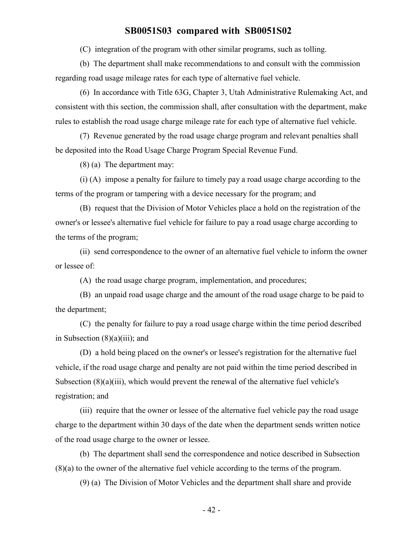(C) integration of the program with other similar programs, such as tolling.

(b) The department shall make recommendations to and consult with the commission regarding road usage mileage rates for each type of alternative fuel vehicle.

(6) In accordance with Title 63G, Chapter 3, Utah Administrative Rulemaking Act, and consistent with this section, the commission shall, after consultation with the department, make rules to establish the road usage charge mileage rate for each type of alternative fuel vehicle.

(7) Revenue generated by the road usage charge program and relevant penalties shall be deposited into the Road Usage Charge Program Special Revenue Fund.

(8) (a) The department may:

(i) (A) impose a penalty for failure to timely pay a road usage charge according to the terms of the program or tampering with a device necessary for the program; and

(B) request that the Division of Motor Vehicles place a hold on the registration of the owner's or lessee's alternative fuel vehicle for failure to pay a road usage charge according to the terms of the program;

(ii) send correspondence to the owner of an alternative fuel vehicle to inform the owner or lessee of:

(A) the road usage charge program, implementation, and procedures;

(B) an unpaid road usage charge and the amount of the road usage charge to be paid to the department;

(C) the penalty for failure to pay a road usage charge within the time period described in Subsection (8)(a)(iii); and

(D) a hold being placed on the owner's or lessee's registration for the alternative fuel vehicle, if the road usage charge and penalty are not paid within the time period described in Subsection (8)(a)(iii), which would prevent the renewal of the alternative fuel vehicle's registration; and

(iii) require that the owner or lessee of the alternative fuel vehicle pay the road usage charge to the department within 30 days of the date when the department sends written notice of the road usage charge to the owner or lessee.

(b) The department shall send the correspondence and notice described in Subsection (8)(a) to the owner of the alternative fuel vehicle according to the terms of the program.

(9) (a) The Division of Motor Vehicles and the department shall share and provide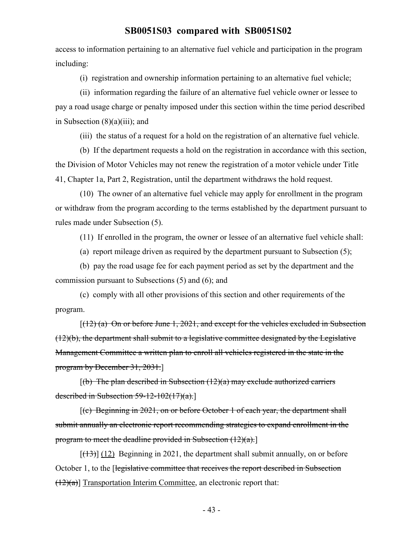access to information pertaining to an alternative fuel vehicle and participation in the program including:

(i) registration and ownership information pertaining to an alternative fuel vehicle;

(ii) information regarding the failure of an alternative fuel vehicle owner or lessee to pay a road usage charge or penalty imposed under this section within the time period described in Subsection  $(8)(a)(iii)$ ; and

(iii) the status of a request for a hold on the registration of an alternative fuel vehicle.

(b) If the department requests a hold on the registration in accordance with this section, the Division of Motor Vehicles may not renew the registration of a motor vehicle under Title 41, Chapter 1a, Part 2, Registration, until the department withdraws the hold request.

(10) The owner of an alternative fuel vehicle may apply for enrollment in the program or withdraw from the program according to the terms established by the department pursuant to rules made under Subsection (5).

(11) If enrolled in the program, the owner or lessee of an alternative fuel vehicle shall:

(a) report mileage driven as required by the department pursuant to Subsection (5);

(b) pay the road usage fee for each payment period as set by the department and the commission pursuant to Subsections (5) and (6); and

(c) comply with all other provisions of this section and other requirements of the program.

 $[(12)$  (a) On or before June 1, 2021, and except for the vehicles excluded in Subsection (12)(b), the department shall submit to a legislative committee designated by the Legislative Management Committee a written plan to enroll all vehicles registered in the state in the program by December 31, 2031.]

 $[(b)$  The plan described in Subsection  $(12)(a)$  may exclude authorized carriers described in Subsection  $59-12-102(17)(a)$ .

[(c) Beginning in 2021, on or before October 1 of each year, the department shall submit annually an electronic report recommending strategies to expand enrollment in the program to meet the deadline provided in Subsection  $(12)(a)$ .

 $[(13)]$  (12) Beginning in 2021, the department shall submit annually, on or before October 1, to the [legislative committee that receives the report described in Subsection  $(12)(a)$ ] Transportation Interim Committee, an electronic report that: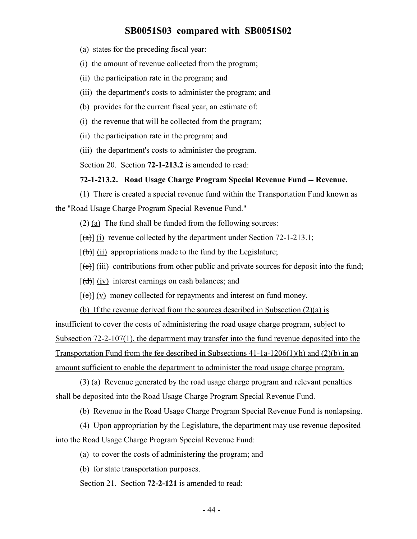(a) states for the preceding fiscal year:

(i) the amount of revenue collected from the program;

(ii) the participation rate in the program; and

(iii) the department's costs to administer the program; and

(b) provides for the current fiscal year, an estimate of:

(i) the revenue that will be collected from the program;

(ii) the participation rate in the program; and

(iii) the department's costs to administer the program.

Section 20. Section **72-1-213.2** is amended to read:

#### **72-1-213.2. Road Usage Charge Program Special Revenue Fund -- Revenue.**

(1) There is created a special revenue fund within the Transportation Fund known as the "Road Usage Charge Program Special Revenue Fund."

(2) (a) The fund shall be funded from the following sources:

 $[(a)]$  (i) revenue collected by the department under Section 72-1-213.1;

 $[\phi]$  (ii) appropriations made to the fund by the Legislature;

 $[\text{e}(\epsilon)]$  (iii) contributions from other public and private sources for deposit into the fund;

 $[\frac{d}{d}]$  (iv) interest earnings on cash balances; and

 $[\text{e}(\mathbf{e})]$  (v) money collected for repayments and interest on fund money.

(b) If the revenue derived from the sources described in Subsection (2)(a) is

insufficient to cover the costs of administering the road usage charge program, subject to Subsection 72-2-107(1), the department may transfer into the fund revenue deposited into the Transportation Fund from the fee described in Subsections 41-1a-1206(1)(h) and (2)(b) in an amount sufficient to enable the department to administer the road usage charge program.

(3) (a) Revenue generated by the road usage charge program and relevant penalties shall be deposited into the Road Usage Charge Program Special Revenue Fund.

(b) Revenue in the Road Usage Charge Program Special Revenue Fund is nonlapsing.

(4) Upon appropriation by the Legislature, the department may use revenue deposited into the Road Usage Charge Program Special Revenue Fund:

(a) to cover the costs of administering the program; and

(b) for state transportation purposes.

Section 21. Section **72-2-121** is amended to read: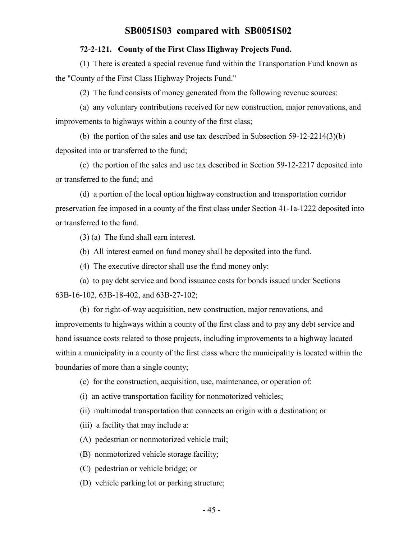#### **72-2-121. County of the First Class Highway Projects Fund.**

(1) There is created a special revenue fund within the Transportation Fund known as the "County of the First Class Highway Projects Fund."

(2) The fund consists of money generated from the following revenue sources:

(a) any voluntary contributions received for new construction, major renovations, and improvements to highways within a county of the first class;

(b) the portion of the sales and use tax described in Subsection 59-12-2214(3)(b) deposited into or transferred to the fund;

(c) the portion of the sales and use tax described in Section 59-12-2217 deposited into or transferred to the fund; and

(d) a portion of the local option highway construction and transportation corridor preservation fee imposed in a county of the first class under Section 41-1a-1222 deposited into or transferred to the fund.

(3) (a) The fund shall earn interest.

(b) All interest earned on fund money shall be deposited into the fund.

(4) The executive director shall use the fund money only:

(a) to pay debt service and bond issuance costs for bonds issued under Sections 63B-16-102, 63B-18-402, and 63B-27-102;

(b) for right-of-way acquisition, new construction, major renovations, and improvements to highways within a county of the first class and to pay any debt service and bond issuance costs related to those projects, including improvements to a highway located within a municipality in a county of the first class where the municipality is located within the boundaries of more than a single county;

(c) for the construction, acquisition, use, maintenance, or operation of:

(i) an active transportation facility for nonmotorized vehicles;

(ii) multimodal transportation that connects an origin with a destination; or

(iii) a facility that may include a:

(A) pedestrian or nonmotorized vehicle trail;

(B) nonmotorized vehicle storage facility;

(C) pedestrian or vehicle bridge; or

(D) vehicle parking lot or parking structure;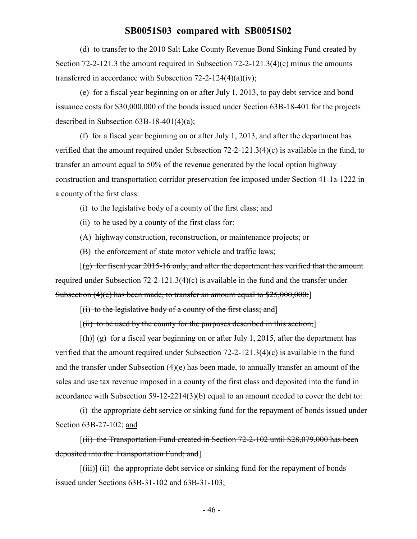(d) to transfer to the 2010 Salt Lake County Revenue Bond Sinking Fund created by Section 72-2-121.3 the amount required in Subsection 72-2-121.3(4)(c) minus the amounts transferred in accordance with Subsection 72-2-124(4)(a)(iv);

(e) for a fiscal year beginning on or after July 1, 2013, to pay debt service and bond issuance costs for \$30,000,000 of the bonds issued under Section 63B-18-401 for the projects described in Subsection 63B-18-401(4)(a);

(f) for a fiscal year beginning on or after July 1, 2013, and after the department has verified that the amount required under Subsection 72-2-121.3(4)(c) is available in the fund, to transfer an amount equal to 50% of the revenue generated by the local option highway construction and transportation corridor preservation fee imposed under Section 41-1a-1222 in a county of the first class:

(i) to the legislative body of a county of the first class; and

(ii) to be used by a county of the first class for:

(A) highway construction, reconstruction, or maintenance projects; or

(B) the enforcement of state motor vehicle and traffic laws;

 $[(g)$  for fiscal year 2015-16 only, and after the department has verified that the amount required under Subsection 72-2-121.3(4)(c) is available in the fund and the transfer under Subsection (4)(e) has been made, to transfer an amount equal to \$25,000,000:

 $[(i)$  to the legislative body of a county of the first class; and  $]$ 

 $[(iii)$  to be used by the county for the purposes described in this section;

 $[\frac{f(h)}{g}]$  for a fiscal year beginning on or after July 1, 2015, after the department has verified that the amount required under Subsection 72-2-121.3(4)(c) is available in the fund and the transfer under Subsection (4)(e) has been made, to annually transfer an amount of the sales and use tax revenue imposed in a county of the first class and deposited into the fund in accordance with Subsection 59-12-2214(3)(b) equal to an amount needed to cover the debt to:

(i) the appropriate debt service or sinking fund for the repayment of bonds issued under Section 63B-27-102; and

[(ii) the Transportation Fund created in Section 72-2-102 until \$28,079,000 has been deposited into the Transportation Fund; and]

 $[\overline{\text{(iii)}}]$  (ii) the appropriate debt service or sinking fund for the repayment of bonds issued under Sections 63B-31-102 and 63B-31-103;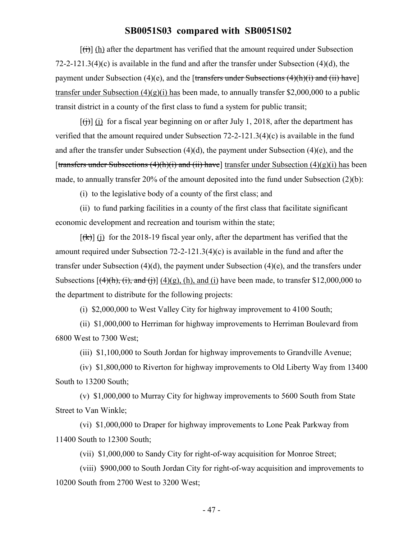$[f<sup>th</sup>]$  (h) after the department has verified that the amount required under Subsection 72-2-121.3(4)(c) is available in the fund and after the transfer under Subsection (4)(d), the payment under Subsection (4)(e), and the [transfers under Subsections  $(4)(h)(i)$  and (ii) have] transfer under Subsection  $(4)(g)(i)$  has been made, to annually transfer \$2,000,000 to a public transit district in a county of the first class to fund a system for public transit;

 $[f(t)]$  (i) for a fiscal year beginning on or after July 1, 2018, after the department has verified that the amount required under Subsection 72-2-121.3(4)(c) is available in the fund and after the transfer under Subsection (4)(d), the payment under Subsection (4)(e), and the [transfers under Subsections  $(4)(h)(i)$  and  $(ii)$  have] transfer under Subsection  $(4)(g)(i)$  has been made, to annually transfer 20% of the amount deposited into the fund under Subsection (2)(b):

(i) to the legislative body of a county of the first class; and

(ii) to fund parking facilities in a county of the first class that facilitate significant economic development and recreation and tourism within the state;

 $[(k)]$  (j) for the 2018-19 fiscal year only, after the department has verified that the amount required under Subsection 72-2-121.3(4)(c) is available in the fund and after the transfer under Subsection  $(4)(d)$ , the payment under Subsection  $(4)(e)$ , and the transfers under Subsections  $[(4)(h), (i),$  and  $(i)]$   $(4)(g)$ ,  $(h)$ , and  $(i)$  have been made, to transfer \$12,000,000 to the department to distribute for the following projects:

(i) \$2,000,000 to West Valley City for highway improvement to 4100 South;

(ii) \$1,000,000 to Herriman for highway improvements to Herriman Boulevard from 6800 West to 7300 West;

(iii) \$1,100,000 to South Jordan for highway improvements to Grandville Avenue;

(iv) \$1,800,000 to Riverton for highway improvements to Old Liberty Way from 13400 South to 13200 South;

(v) \$1,000,000 to Murray City for highway improvements to 5600 South from State Street to Van Winkle;

(vi) \$1,000,000 to Draper for highway improvements to Lone Peak Parkway from 11400 South to 12300 South;

(vii) \$1,000,000 to Sandy City for right-of-way acquisition for Monroe Street;

(viii) \$900,000 to South Jordan City for right-of-way acquisition and improvements to 10200 South from 2700 West to 3200 West;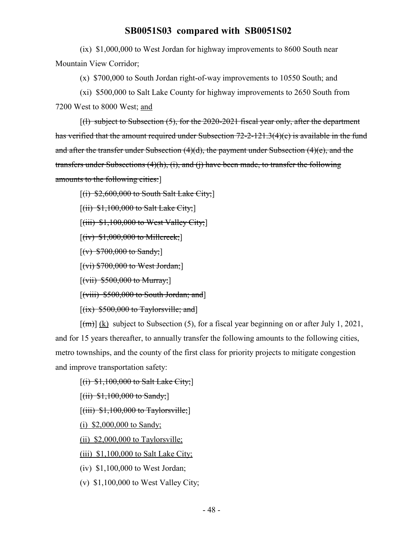(ix) \$1,000,000 to West Jordan for highway improvements to 8600 South near Mountain View Corridor;

(x) \$700,000 to South Jordan right-of-way improvements to 10550 South; and

(xi) \$500,000 to Salt Lake County for highway improvements to 2650 South from

7200 West to 8000 West; and

 $\left[\right]$  subject to Subsection (5), for the 2020-2021 fiscal year only, after the department has verified that the amount required under Subsection 72-2-121.3(4)(c) is available in the fund and after the transfer under Subsection  $(4)(d)$ , the payment under Subsection  $(4)(e)$ , and the transfers under Subsections (4)(h), (i), and (j) have been made, to transfer the following amounts to the following cities:]

 $[(i)$  \$2,600,000 to South Salt Lake City;

 $[(ii)$  \$1,100,000 to Salt Lake City;

 $[(iii)$   $$1,100,000$  to West Valley City;

 $[(iv)$  \$1,000,000 to Millcreek;

 $[(v) $700,000$  to Sandy;

 $[(vi) $700,000$  to West Jordan;

 $[(\text{vii}) \, \$500,000 \text{ to Murray}]$ 

 $[(viii)$  \$500,000 to South Jordan; and

 $[(ix)$  \$500,000 to Taylorsville; and]

 $[\text{m}]}$  (k) subject to Subsection (5), for a fiscal year beginning on or after July 1, 2021, and for 15 years thereafter, to annually transfer the following amounts to the following cities, metro townships, and the county of the first class for priority projects to mitigate congestion and improve transportation safety:

 $[(i)$  \$1,100,000 to Salt Lake City;]

 $[(ii)$  \$1,100,000 to Sandy;

 $[(iii)$  \$1,100,000 to Taylorsville;

(i) \$2,000,000 to Sandy;

(ii) \$2,000,000 to Taylorsville;

(iii) \$1,100,000 to Salt Lake City;

(iv) \$1,100,000 to West Jordan;

(v) \$1,100,000 to West Valley City;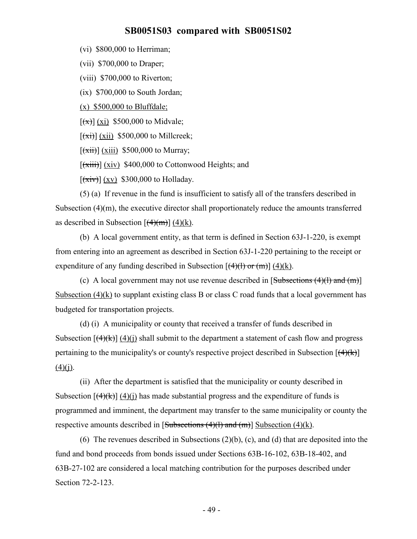(vi) \$800,000 to Herriman;

(vii) \$700,000 to Draper;

(viii) \$700,000 to Riverton;

(ix) \$700,000 to South Jordan;

(x) \$500,000 to Bluffdale;

 $[(x)] (xi)$  \$500,000 to Midvale;

 $[\overrightarrow{x_i}]$  (xii) \$500,000 to Millcreek;

 $\left[\frac{\overrightarrow{xii}}{\overrightarrow{xiii}}\right]$  (xiii) \$500,000 to Murray;

 $[\overline{(\overline{xiii})}]$  (xiv) \$400,000 to Cottonwood Heights; and

 $[\overline{(xiv)}]$  (xv) \$300,000 to Holladay.

(5) (a) If revenue in the fund is insufficient to satisfy all of the transfers described in Subsection  $(4)(m)$ , the executive director shall proportionately reduce the amounts transferred as described in Subsection  $[(4)(m)] (4)(k)$ .

(b) A local government entity, as that term is defined in Section 63J-1-220, is exempt from entering into an agreement as described in Section 63J-1-220 pertaining to the receipt or expenditure of any funding described in Subsection  $[(4)(1)$  or  $(m)] (4)(k)$ .

(c) A local government may not use revenue described in  $[Subsections (4)(1) and (m)]$ Subsection  $(4)(k)$  to supplant existing class B or class C road funds that a local government has budgeted for transportation projects.

(d) (i) A municipality or county that received a transfer of funds described in Subsection  $[(4)(k)]$  (4)(i) shall submit to the department a statement of cash flow and progress pertaining to the municipality's or county's respective project described in Subsection  $[(4)(k)]$  $(4)(i)$ .

(ii) After the department is satisfied that the municipality or county described in Subsection  $[(4)(k)] (4)(i)$  has made substantial progress and the expenditure of funds is programmed and imminent, the department may transfer to the same municipality or county the respective amounts described in  $[Subsections (4)(1) and (m)]$  Subsection (4)(k).

(6) The revenues described in Subsections (2)(b), (c), and (d) that are deposited into the fund and bond proceeds from bonds issued under Sections 63B-16-102, 63B-18-402, and 63B-27-102 are considered a local matching contribution for the purposes described under Section 72-2-123.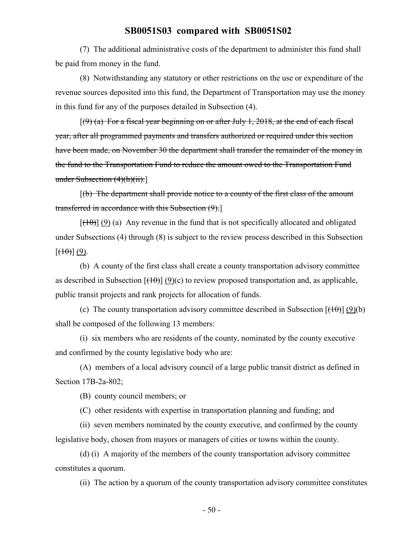(7) The additional administrative costs of the department to administer this fund shall be paid from money in the fund.

(8) Notwithstanding any statutory or other restrictions on the use or expenditure of the revenue sources deposited into this fund, the Department of Transportation may use the money in this fund for any of the purposes detailed in Subsection (4).

 $[(9)$  (a) For a fiscal year beginning on or after July 1, 2018, at the end of each fiscal year, after all programmed payments and transfers authorized or required under this section have been made, on November 30 the department shall transfer the remainder of the money in the fund to the Transportation Fund to reduce the amount owed to the Transportation Fund under Subsection (4)(h)(ii).]

 $[(b)$  The department shall provide notice to a county of the first class of the amount transferred in accordance with this Subsection (9).]

 $[(10)(9)(a)$  Any revenue in the fund that is not specifically allocated and obligated under Subsections (4) through (8) is subject to the review process described in this Subsection  $[\left(\theta\right)](9)$ .

(b) A county of the first class shall create a county transportation advisory committee as described in Subsection  $[(10)(c)]$  to review proposed transportation and, as applicable, public transit projects and rank projects for allocation of funds.

(c) The county transportation advisory committee described in Subsection  $[(10)(b)]$ shall be composed of the following 13 members:

(i) six members who are residents of the county, nominated by the county executive and confirmed by the county legislative body who are:

(A) members of a local advisory council of a large public transit district as defined in Section 17B-2a-802;

(B) county council members; or

(C) other residents with expertise in transportation planning and funding; and

(ii) seven members nominated by the county executive, and confirmed by the county legislative body, chosen from mayors or managers of cities or towns within the county.

(d) (i) A majority of the members of the county transportation advisory committee constitutes a quorum.

(ii) The action by a quorum of the county transportation advisory committee constitutes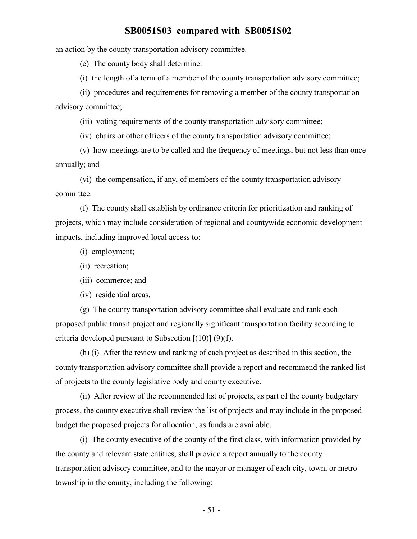an action by the county transportation advisory committee.

(e) The county body shall determine:

(i) the length of a term of a member of the county transportation advisory committee;

(ii) procedures and requirements for removing a member of the county transportation advisory committee;

(iii) voting requirements of the county transportation advisory committee;

(iv) chairs or other officers of the county transportation advisory committee;

(v) how meetings are to be called and the frequency of meetings, but not less than once annually; and

(vi) the compensation, if any, of members of the county transportation advisory committee.

(f) The county shall establish by ordinance criteria for prioritization and ranking of projects, which may include consideration of regional and countywide economic development impacts, including improved local access to:

- (i) employment;
- (ii) recreation;
- (iii) commerce; and
- (iv) residential areas.

(g) The county transportation advisory committee shall evaluate and rank each proposed public transit project and regionally significant transportation facility according to criteria developed pursuant to Subsection  $[\frac{(10)}{(10)}]$  (9)(f).

(h) (i) After the review and ranking of each project as described in this section, the county transportation advisory committee shall provide a report and recommend the ranked list of projects to the county legislative body and county executive.

(ii) After review of the recommended list of projects, as part of the county budgetary process, the county executive shall review the list of projects and may include in the proposed budget the proposed projects for allocation, as funds are available.

(i) The county executive of the county of the first class, with information provided by the county and relevant state entities, shall provide a report annually to the county transportation advisory committee, and to the mayor or manager of each city, town, or metro township in the county, including the following: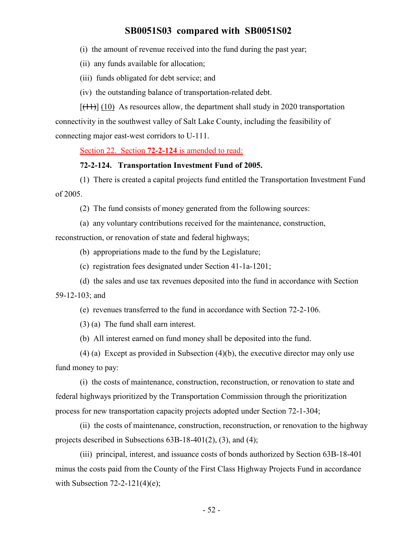(i) the amount of revenue received into the fund during the past year;

(ii) any funds available for allocation;

(iii) funds obligated for debt service; and

(iv) the outstanding balance of transportation-related debt.

 $[(11)]$  (10) As resources allow, the department shall study in 2020 transportation connectivity in the southwest valley of Salt Lake County, including the feasibility of connecting major east-west corridors to U-111.

Section 22. Section **72-2-124** is amended to read:

#### **72-2-124. Transportation Investment Fund of 2005.**

(1) There is created a capital projects fund entitled the Transportation Investment Fund of 2005.

(2) The fund consists of money generated from the following sources:

(a) any voluntary contributions received for the maintenance, construction,

reconstruction, or renovation of state and federal highways;

(b) appropriations made to the fund by the Legislature;

(c) registration fees designated under Section 41-1a-1201;

(d) the sales and use tax revenues deposited into the fund in accordance with Section

59-12-103; and

(e) revenues transferred to the fund in accordance with Section 72-2-106.

(3) (a) The fund shall earn interest.

(b) All interest earned on fund money shall be deposited into the fund.

(4) (a) Except as provided in Subsection (4)(b), the executive director may only use fund money to pay:

(i) the costs of maintenance, construction, reconstruction, or renovation to state and federal highways prioritized by the Transportation Commission through the prioritization process for new transportation capacity projects adopted under Section 72-1-304;

(ii) the costs of maintenance, construction, reconstruction, or renovation to the highway projects described in Subsections 63B-18-401(2), (3), and (4);

(iii) principal, interest, and issuance costs of bonds authorized by Section 63B-18-401 minus the costs paid from the County of the First Class Highway Projects Fund in accordance with Subsection  $72-2-121(4)(e)$ ;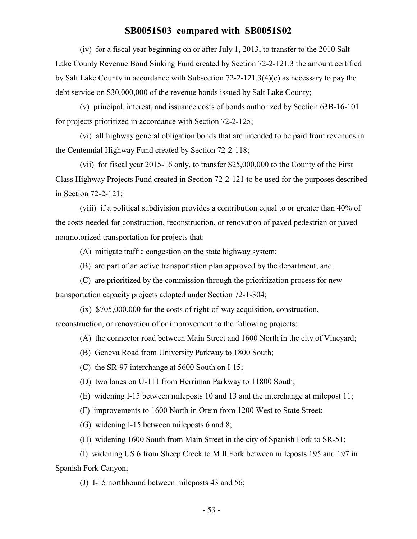(iv) for a fiscal year beginning on or after July 1, 2013, to transfer to the 2010 Salt Lake County Revenue Bond Sinking Fund created by Section 72-2-121.3 the amount certified by Salt Lake County in accordance with Subsection 72-2-121.3(4)(c) as necessary to pay the debt service on \$30,000,000 of the revenue bonds issued by Salt Lake County;

(v) principal, interest, and issuance costs of bonds authorized by Section 63B-16-101 for projects prioritized in accordance with Section 72-2-125;

(vi) all highway general obligation bonds that are intended to be paid from revenues in the Centennial Highway Fund created by Section 72-2-118;

(vii) for fiscal year 2015-16 only, to transfer \$25,000,000 to the County of the First Class Highway Projects Fund created in Section 72-2-121 to be used for the purposes described in Section 72-2-121;

(viii) if a political subdivision provides a contribution equal to or greater than 40% of the costs needed for construction, reconstruction, or renovation of paved pedestrian or paved nonmotorized transportation for projects that:

(A) mitigate traffic congestion on the state highway system;

(B) are part of an active transportation plan approved by the department; and

(C) are prioritized by the commission through the prioritization process for new transportation capacity projects adopted under Section 72-1-304;

(ix) \$705,000,000 for the costs of right-of-way acquisition, construction, reconstruction, or renovation of or improvement to the following projects:

(A) the connector road between Main Street and 1600 North in the city of Vineyard;

- (B) Geneva Road from University Parkway to 1800 South;
- (C) the SR-97 interchange at 5600 South on I-15;
- (D) two lanes on U-111 from Herriman Parkway to 11800 South;
- (E) widening I-15 between mileposts 10 and 13 and the interchange at milepost 11;
- (F) improvements to 1600 North in Orem from 1200 West to State Street;

(G) widening I-15 between mileposts 6 and 8;

(H) widening 1600 South from Main Street in the city of Spanish Fork to SR-51;

(I) widening US 6 from Sheep Creek to Mill Fork between mileposts 195 and 197 in Spanish Fork Canyon;

(J) I-15 northbound between mileposts 43 and 56;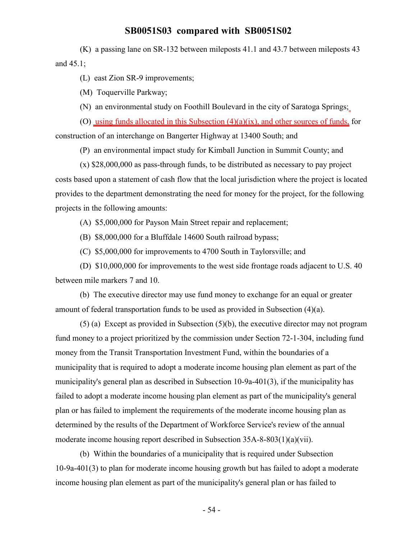(K) a passing lane on SR-132 between mileposts 41.1 and 43.7 between mileposts 43 and 45.1;

(L) east Zion SR-9 improvements;

(M) Toquerville Parkway;

(N) an environmental study on Foothill Boulevard in the city of Saratoga Springs;

(O) using funds allocated in this Subsection (4)(a)(ix), and other sources of funds, for construction of an interchange on Bangerter Highway at 13400 South; and

(P) an environmental impact study for Kimball Junction in Summit County; and

(x) \$28,000,000 as pass-through funds, to be distributed as necessary to pay project costs based upon a statement of cash flow that the local jurisdiction where the project is located provides to the department demonstrating the need for money for the project, for the following projects in the following amounts:

(A) \$5,000,000 for Payson Main Street repair and replacement;

(B) \$8,000,000 for a Bluffdale 14600 South railroad bypass;

(C) \$5,000,000 for improvements to 4700 South in Taylorsville; and

(D) \$10,000,000 for improvements to the west side frontage roads adjacent to U.S. 40 between mile markers 7 and 10.

(b) The executive director may use fund money to exchange for an equal or greater amount of federal transportation funds to be used as provided in Subsection (4)(a).

(5) (a) Except as provided in Subsection (5)(b), the executive director may not program fund money to a project prioritized by the commission under Section 72-1-304, including fund money from the Transit Transportation Investment Fund, within the boundaries of a municipality that is required to adopt a moderate income housing plan element as part of the municipality's general plan as described in Subsection 10-9a-401(3), if the municipality has failed to adopt a moderate income housing plan element as part of the municipality's general plan or has failed to implement the requirements of the moderate income housing plan as determined by the results of the Department of Workforce Service's review of the annual moderate income housing report described in Subsection 35A-8-803(1)(a)(vii).

(b) Within the boundaries of a municipality that is required under Subsection 10-9a-401(3) to plan for moderate income housing growth but has failed to adopt a moderate income housing plan element as part of the municipality's general plan or has failed to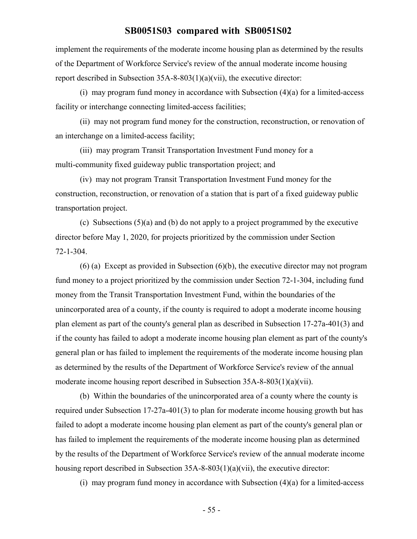implement the requirements of the moderate income housing plan as determined by the results of the Department of Workforce Service's review of the annual moderate income housing report described in Subsection 35A-8-803(1)(a)(vii), the executive director:

(i) may program fund money in accordance with Subsection (4)(a) for a limited-access facility or interchange connecting limited-access facilities;

(ii) may not program fund money for the construction, reconstruction, or renovation of an interchange on a limited-access facility;

(iii) may program Transit Transportation Investment Fund money for a multi-community fixed guideway public transportation project; and

(iv) may not program Transit Transportation Investment Fund money for the construction, reconstruction, or renovation of a station that is part of a fixed guideway public transportation project.

(c) Subsections  $(5)(a)$  and (b) do not apply to a project programmed by the executive director before May 1, 2020, for projects prioritized by the commission under Section 72-1-304.

(6) (a) Except as provided in Subsection (6)(b), the executive director may not program fund money to a project prioritized by the commission under Section 72-1-304, including fund money from the Transit Transportation Investment Fund, within the boundaries of the unincorporated area of a county, if the county is required to adopt a moderate income housing plan element as part of the county's general plan as described in Subsection 17-27a-401(3) and if the county has failed to adopt a moderate income housing plan element as part of the county's general plan or has failed to implement the requirements of the moderate income housing plan as determined by the results of the Department of Workforce Service's review of the annual moderate income housing report described in Subsection 35A-8-803(1)(a)(vii).

(b) Within the boundaries of the unincorporated area of a county where the county is required under Subsection 17-27a-401(3) to plan for moderate income housing growth but has failed to adopt a moderate income housing plan element as part of the county's general plan or has failed to implement the requirements of the moderate income housing plan as determined by the results of the Department of Workforce Service's review of the annual moderate income housing report described in Subsection 35A-8-803(1)(a)(vii), the executive director:

(i) may program fund money in accordance with Subsection  $(4)(a)$  for a limited-access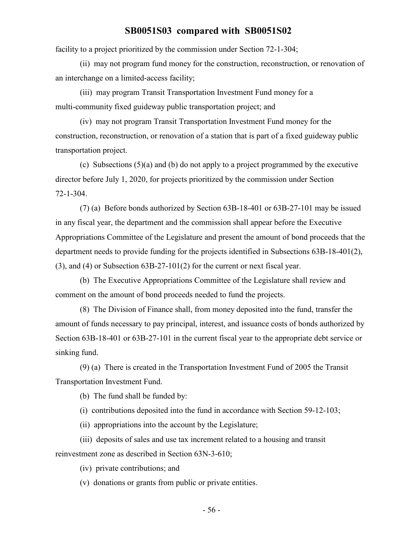facility to a project prioritized by the commission under Section 72-1-304;

(ii) may not program fund money for the construction, reconstruction, or renovation of an interchange on a limited-access facility;

(iii) may program Transit Transportation Investment Fund money for a multi-community fixed guideway public transportation project; and

(iv) may not program Transit Transportation Investment Fund money for the construction, reconstruction, or renovation of a station that is part of a fixed guideway public transportation project.

(c) Subsections (5)(a) and (b) do not apply to a project programmed by the executive director before July 1, 2020, for projects prioritized by the commission under Section 72-1-304.

(7) (a) Before bonds authorized by Section 63B-18-401 or 63B-27-101 may be issued in any fiscal year, the department and the commission shall appear before the Executive Appropriations Committee of the Legislature and present the amount of bond proceeds that the department needs to provide funding for the projects identified in Subsections 63B-18-401(2), (3), and (4) or Subsection 63B-27-101(2) for the current or next fiscal year.

(b) The Executive Appropriations Committee of the Legislature shall review and comment on the amount of bond proceeds needed to fund the projects.

(8) The Division of Finance shall, from money deposited into the fund, transfer the amount of funds necessary to pay principal, interest, and issuance costs of bonds authorized by Section 63B-18-401 or 63B-27-101 in the current fiscal year to the appropriate debt service or sinking fund.

(9) (a) There is created in the Transportation Investment Fund of 2005 the Transit Transportation Investment Fund.

(b) The fund shall be funded by:

(i) contributions deposited into the fund in accordance with Section 59-12-103;

(ii) appropriations into the account by the Legislature;

(iii) deposits of sales and use tax increment related to a housing and transit reinvestment zone as described in Section 63N-3-610;

(iv) private contributions; and

(v) donations or grants from public or private entities.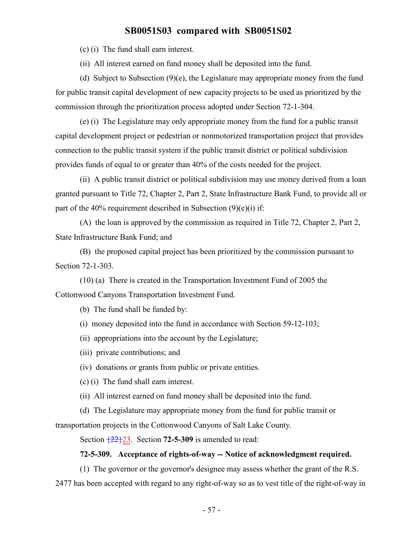(c) (i) The fund shall earn interest.

(ii) All interest earned on fund money shall be deposited into the fund.

(d) Subject to Subsection (9)(e), the Legislature may appropriate money from the fund for public transit capital development of new capacity projects to be used as prioritized by the commission through the prioritization process adopted under Section 72-1-304.

(e) (i) The Legislature may only appropriate money from the fund for a public transit capital development project or pedestrian or nonmotorized transportation project that provides connection to the public transit system if the public transit district or political subdivision provides funds of equal to or greater than 40% of the costs needed for the project.

(ii) A public transit district or political subdivision may use money derived from a loan granted pursuant to Title 72, Chapter 2, Part 2, State Infrastructure Bank Fund, to provide all or part of the 40% requirement described in Subsection  $(9)(e)(i)$  if:

(A) the loan is approved by the commission as required in Title 72, Chapter 2, Part 2, State Infrastructure Bank Fund; and

(B) the proposed capital project has been prioritized by the commission pursuant to Section 72-1-303.

(10) (a) There is created in the Transportation Investment Fund of 2005 the Cottonwood Canyons Transportation Investment Fund.

(b) The fund shall be funded by:

(i) money deposited into the fund in accordance with Section 59-12-103;

(ii) appropriations into the account by the Legislature;

(iii) private contributions; and

(iv) donations or grants from public or private entities.

(c) (i) The fund shall earn interest.

(ii) All interest earned on fund money shall be deposited into the fund.

(d) The Legislature may appropriate money from the fund for public transit or

transportation projects in the Cottonwood Canyons of Salt Lake County.

Section {22}23. Section **72-5-309** is amended to read:

#### **72-5-309. Acceptance of rights-of-way -- Notice of acknowledgment required.**

(1) The governor or the governor's designee may assess whether the grant of the R.S. 2477 has been accepted with regard to any right-of-way so as to vest title of the right-of-way in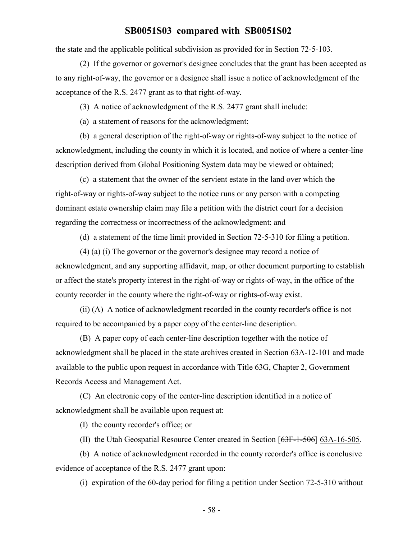the state and the applicable political subdivision as provided for in Section 72-5-103.

(2) If the governor or governor's designee concludes that the grant has been accepted as to any right-of-way, the governor or a designee shall issue a notice of acknowledgment of the acceptance of the R.S. 2477 grant as to that right-of-way.

(3) A notice of acknowledgment of the R.S. 2477 grant shall include:

(a) a statement of reasons for the acknowledgment;

(b) a general description of the right-of-way or rights-of-way subject to the notice of acknowledgment, including the county in which it is located, and notice of where a center-line description derived from Global Positioning System data may be viewed or obtained;

(c) a statement that the owner of the servient estate in the land over which the right-of-way or rights-of-way subject to the notice runs or any person with a competing dominant estate ownership claim may file a petition with the district court for a decision regarding the correctness or incorrectness of the acknowledgment; and

(d) a statement of the time limit provided in Section 72-5-310 for filing a petition.

(4) (a) (i) The governor or the governor's designee may record a notice of acknowledgment, and any supporting affidavit, map, or other document purporting to establish or affect the state's property interest in the right-of-way or rights-of-way, in the office of the county recorder in the county where the right-of-way or rights-of-way exist.

(ii) (A) A notice of acknowledgment recorded in the county recorder's office is not required to be accompanied by a paper copy of the center-line description.

(B) A paper copy of each center-line description together with the notice of acknowledgment shall be placed in the state archives created in Section 63A-12-101 and made available to the public upon request in accordance with Title 63G, Chapter 2, Government Records Access and Management Act.

(C) An electronic copy of the center-line description identified in a notice of acknowledgment shall be available upon request at:

(I) the county recorder's office; or

(II) the Utah Geospatial Resource Center created in Section [63F-1-506] 63A-16-505.

(b) A notice of acknowledgment recorded in the county recorder's office is conclusive evidence of acceptance of the R.S. 2477 grant upon:

(i) expiration of the 60-day period for filing a petition under Section 72-5-310 without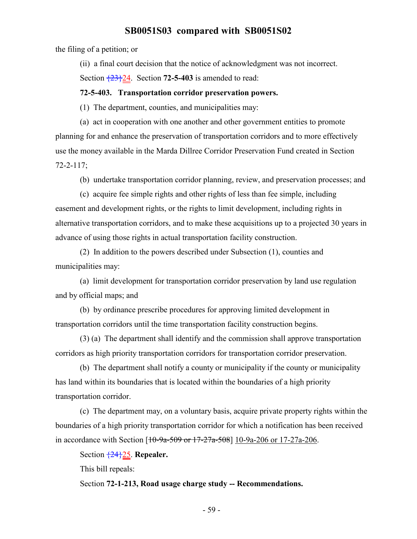the filing of a petition; or

(ii) a final court decision that the notice of acknowledgment was not incorrect.

Section  $\frac{23}{24}$ . Section **72-5-403** is amended to read:

#### **72-5-403. Transportation corridor preservation powers.**

(1) The department, counties, and municipalities may:

(a) act in cooperation with one another and other government entities to promote planning for and enhance the preservation of transportation corridors and to more effectively use the money available in the Marda Dillree Corridor Preservation Fund created in Section 72-2-117;

(b) undertake transportation corridor planning, review, and preservation processes; and

(c) acquire fee simple rights and other rights of less than fee simple, including easement and development rights, or the rights to limit development, including rights in alternative transportation corridors, and to make these acquisitions up to a projected 30 years in advance of using those rights in actual transportation facility construction.

(2) In addition to the powers described under Subsection (1), counties and municipalities may:

(a) limit development for transportation corridor preservation by land use regulation and by official maps; and

(b) by ordinance prescribe procedures for approving limited development in transportation corridors until the time transportation facility construction begins.

(3) (a) The department shall identify and the commission shall approve transportation corridors as high priority transportation corridors for transportation corridor preservation.

(b) The department shall notify a county or municipality if the county or municipality has land within its boundaries that is located within the boundaries of a high priority transportation corridor.

(c) The department may, on a voluntary basis, acquire private property rights within the boundaries of a high priority transportation corridor for which a notification has been received in accordance with Section  $[10-9a-509$  or  $17-27a-508]$  10-9a-206 or 17-27a-206.

Section {24}25. **Repealer.**

This bill repeals:

Section **72-1-213, Road usage charge study -- Recommendations.**